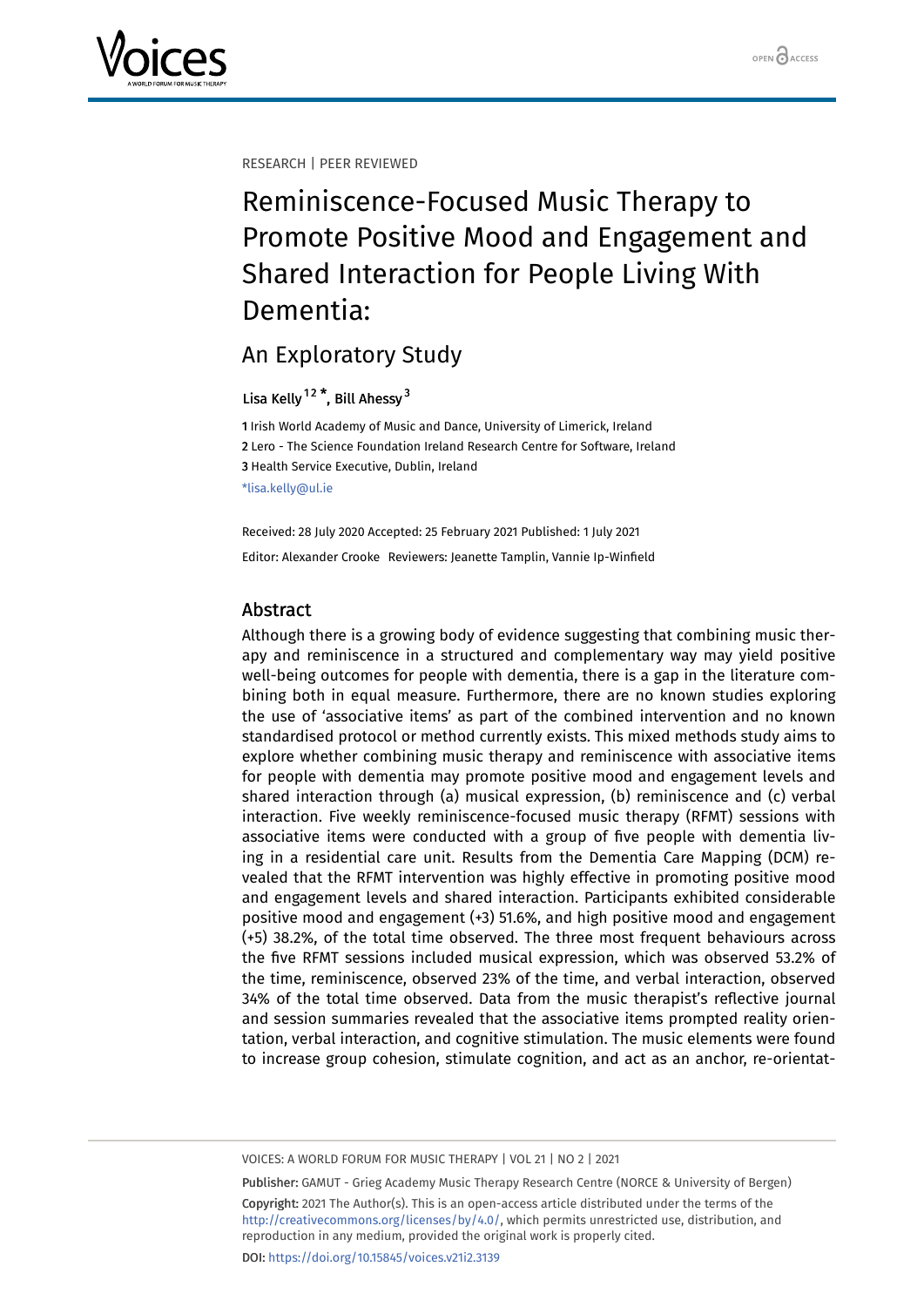RESEARCH | PEER REVIEWED

# Reminiscence-Focused Music Therapy to Promote Positive Mood and Engagement and Shared Interaction for People Living With Dementia:

# An Exploratory Study

# Lisa Kelly <sup>[1](#page-0-0)[2](#page-0-1)</sup> \*, Bill Ahessy <sup>[3](#page-0-2)</sup>

<span id="page-0-2"></span><span id="page-0-1"></span><span id="page-0-0"></span> Irish World Academy of Music and Dance, University of Limerick, Ireland Lero - The Science Foundation Ireland Research Centre for Software, Ireland Health Service Executive, Dublin, Ireland \*lisa.kelly@ul.ie

Received: 28 July 2020 Accepted: 25 February 2021 Published: 1 July 2021 Editor: Alexander Crooke Reviewers: Jeanette Tamplin, Vannie Ip-Winfield

# Abstract

Although there is a growing body of evidence suggesting that combining music therapy and reminiscence in a structured and complementary way may yield positive well-being outcomes for people with dementia, there is a gap in the literature combining both in equal measure. Furthermore, there are no known studies exploring the use of 'associative items' as part of the combined intervention and no known standardised protocol or method currently exists. This mixed methods study aims to explore whether combining music therapy and reminiscence with associative items for people with dementia may promote positive mood and engagement levels and shared interaction through (a) musical expression, (b) reminiscence and (c) verbal interaction. Five weekly reminiscence-focused music therapy (RFMT) sessions with associative items were conducted with a group of five people with dementia living in a residential care unit. Results from the Dementia Care Mapping (DCM) revealed that the RFMT intervention was highly effective in promoting positive mood and engagement levels and shared interaction. Participants exhibited considerable positive mood and engagement (+3) 51.6%, and high positive mood and engagement (+5) 38.2%, of the total time observed. The three most frequent behaviours across the five RFMT sessions included musical expression, which was observed 53.2% of the time, reminiscence, observed 23% of the time, and verbal interaction, observed 34% of the total time observed. Data from the music therapist's reflective journal and session summaries revealed that the associative items prompted reality orientation, verbal interaction, and cognitive stimulation. The music elements were found to increase group cohesion, stimulate cognition, and act as an anchor, re-orientat-

VOICES: A WORLD FORUM FOR MUSIC THERAPY | VOL 21 | NO 2 | 2021

Publisher: GAMUT - Grieg Academy Music Therapy Research Centre (NORCE & University of Bergen) Copyright: 2021 The Author(s). This is an open-access article distributed under the terms of the <http://creativecommons.org/licenses/by/4.0/>, which permits unrestricted use, distribution, and reproduction in any medium, provided the original work is properly cited. DOI: <https://doi.org/10.15845/voices.v21i2.3139>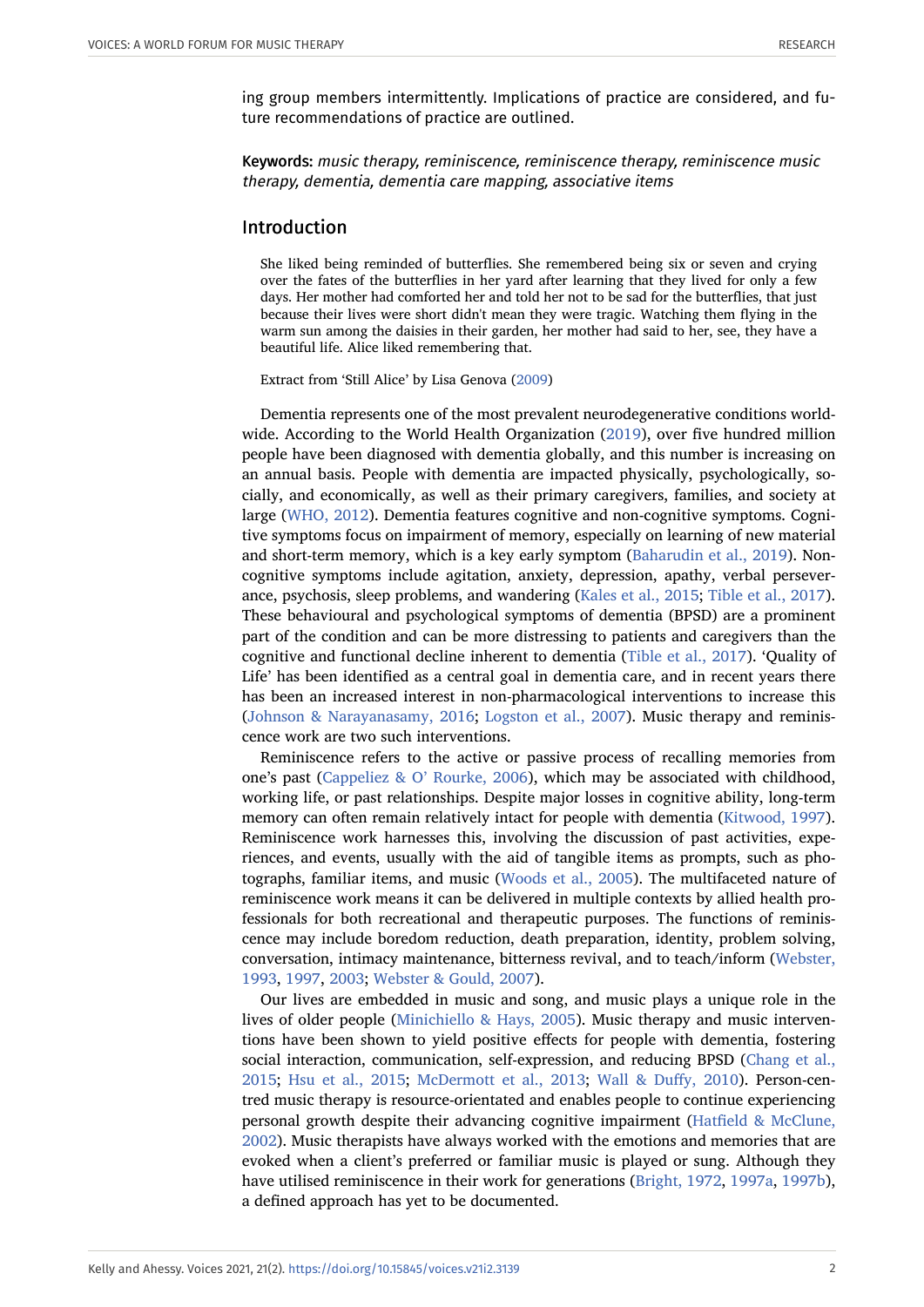ing group members intermittently. Implications of practice are considered, and future recommendations of practice are outlined.

Keywords: music therapy, reminiscence, reminiscence therapy, reminiscence music therapy, dementia, dementia care mapping, associative items

#### Introduction

She liked being reminded of butterflies. She remembered being six or seven and crying over the fates of the butterflies in her yard after learning that they lived for only a few days. Her mother had comforted her and told her not to be sad for the butterflies, that just because their lives were short didn't mean they were tragic. Watching them flying in the warm sun among the daisies in their garden, her mother had said to her, see, they have a beautiful life. Alice liked remembering that.

Extract from 'Still Alice' by Lisa Genova ([2009](#page-22-0))

Dementia represents one of the most prevalent neurodegenerative conditions worldwide. According to the World Health Organization ([2019](#page-26-0)), over five hundred million people have been diagnosed with dementia globally, and this number is increasing on an annual basis. People with dementia are impacted physically, psychologically, socially, and economically, as well as their primary caregivers, families, and society at large [\(WHO, 2012\)](#page-26-1). Dementia features cognitive and non-cognitive symptoms. Cognitive symptoms focus on impairment of memory, especially on learning of new material and short-term memory, which is a key early symptom ([Baharudin et al., 2019](#page-20-0)). Noncognitive symptoms include agitation, anxiety, depression, apathy, verbal perseverance, psychosis, sleep problems, and wandering [\(Kales et al., 2015;](#page-23-0) [Tible et al., 2017](#page-25-0)). These behavioural and psychological symptoms of dementia (BPSD) are a prominent part of the condition and can be more distressing to patients and caregivers than the cognitive and functional decline inherent to dementia [\(Tible et al., 2017](#page-25-0)). 'Quality of Life' has been identified as a central goal in dementia care, and in recent years there has been an increased interest in non-pharmacological interventions to increase this ([Johnson & Narayanasamy, 2016;](#page-23-1) [Logston et al., 2007\)](#page-23-2). Music therapy and reminiscence work are two such interventions.

Reminiscence refers to the active or passive process of recalling memories from one's past ([Cappeliez & O' Rourke, 2006](#page-21-0)), which may be associated with childhood, working life, or past relationships. Despite major losses in cognitive ability, long-term memory can often remain relatively intact for people with dementia [\(Kitwood, 1997](#page-23-3)). Reminiscence work harnesses this, involving the discussion of past activities, experiences, and events, usually with the aid of tangible items as prompts, such as photographs, familiar items, and music ([Woods et al., 2005](#page-26-2)). The multifaceted nature of reminiscence work means it can be delivered in multiple contexts by allied health professionals for both recreational and therapeutic purposes. The functions of reminiscence may include boredom reduction, death preparation, identity, problem solving, conversation, intimacy maintenance, bitterness revival, and to teach/inform ([Webster,](#page-26-3) [1993](#page-26-3), [1997,](#page-26-4) [2003;](#page-26-5) [Webster & Gould, 2007](#page-26-6)).

Our lives are embedded in music and song, and music plays a unique role in the lives of older people ([Minichiello & Hays, 2005](#page-24-0)). Music therapy and music interventions have been shown to yield positive effects for people with dementia, fostering social interaction, communication, self-expression, and reducing BPSD ([Chang et al.,](#page-21-1) [2015](#page-21-1); [Hsu et al., 2015;](#page-22-1) [McDermott et al., 2013](#page-24-1); [Wall & Duffy, 2010](#page-25-1)). Person-centred music therapy is resource-orientated and enables people to continue experiencing personal growth despite their advancing cognitive impairment [\(Hatfield & McClune,](#page-22-2) [2002](#page-22-2)). Music therapists have always worked with the emotions and memories that are evoked when a client's preferred or familiar music is played or sung. Although they have utilised reminiscence in their work for generations ([Bright, 1972](#page-21-2), [1997a](#page-21-3), [1997b](#page-21-4)), a defined approach has yet to be documented.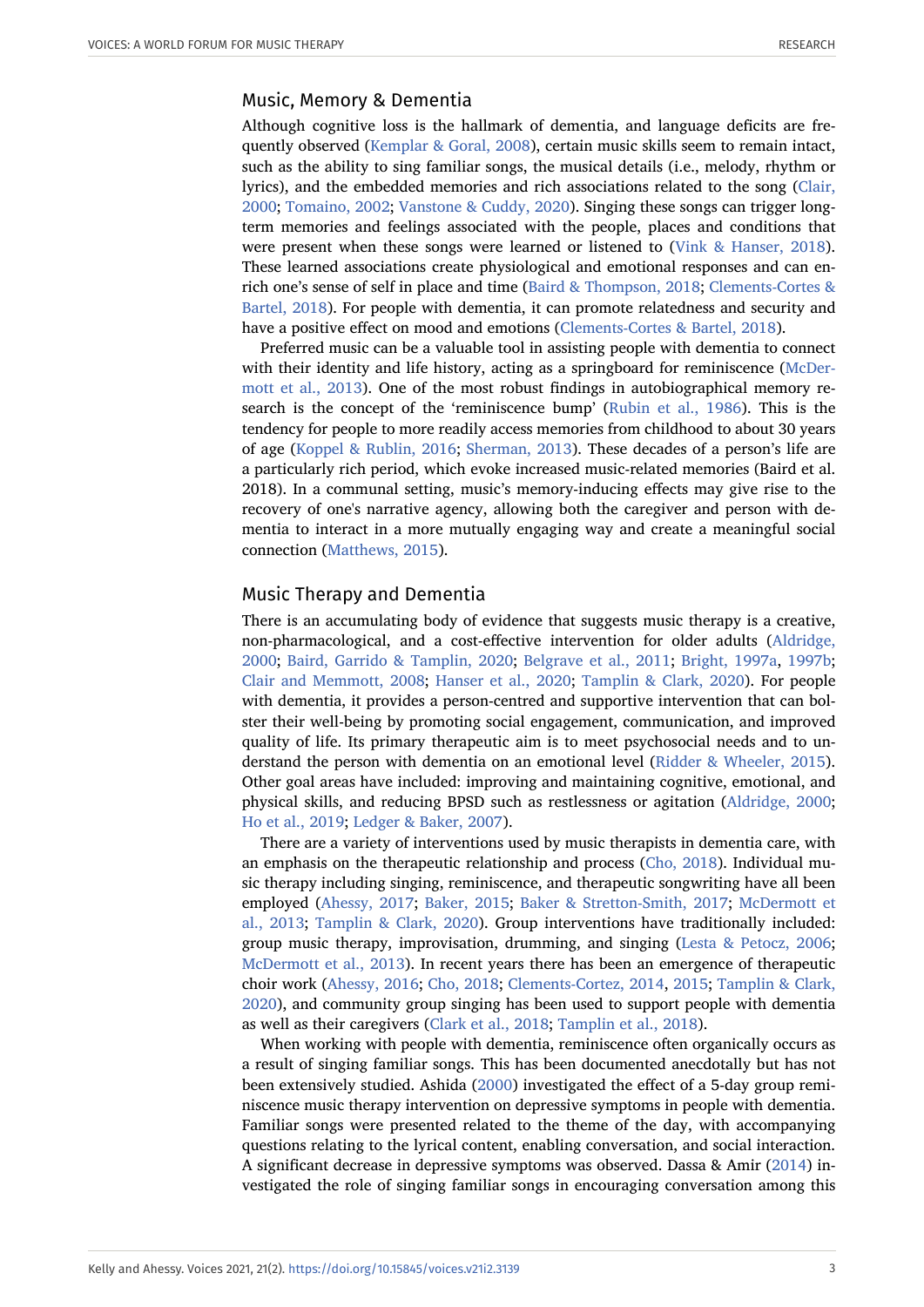# Music, Memory & Dementia

Although cognitive loss is the hallmark of dementia, and language deficits are frequently observed ([Kemplar & Goral, 2008\)](#page-23-4), certain music skills seem to remain intact, such as the ability to sing familiar songs, the musical details (i.e., melody, rhythm or lyrics), and the embedded memories and rich associations related to the song ([Clair,](#page-21-5) [2000](#page-21-5); [Tomaino, 2002](#page-25-2); [Vanstone & Cuddy, 2020](#page-25-3)). Singing these songs can trigger longterm memories and feelings associated with the people, places and conditions that were present when these songs were learned or listened to [\(Vink & Hanser, 2018](#page-25-4)). These learned associations create physiological and emotional responses and can enrich one's sense of self in place and time [\(Baird & Thompson, 2018](#page-20-1); [Clements-Cortes &](#page-21-6) [Bartel, 2018\)](#page-21-6). For people with dementia, it can promote relatedness and security and have a positive effect on mood and emotions [\(Clements-Cortes & Bartel, 2018](#page-21-6)).

Preferred music can be a valuable tool in assisting people with dementia to connect with their identity and life history, acting as a springboard for reminiscence [\(McDer](#page-24-1)[mott et al., 2013](#page-24-1)). One of the most robust findings in autobiographical memory research is the concept of the 'reminiscence bump' ([Rubin et al., 1986\)](#page-24-2). This is the tendency for people to more readily access memories from childhood to about 30 years of age ([Koppel & Rublin, 2016](#page-23-5); [Sherman, 2013\)](#page-25-5). These decades of a person's life are a particularly rich period, which evoke increased music-related memories (Baird et al. 2018). In a communal setting, music's memory-inducing effects may give rise to the recovery of one's narrative agency, allowing both the caregiver and person with dementia to interact in a more mutually engaging way and create a meaningful social connection [\(Matthews, 2015](#page-23-6)).

#### Music Therapy and Dementia

There is an accumulating body of evidence that suggests music therapy is a creative, non-pharmacological, and a cost-effective intervention for older adults ([Aldridge,](#page-20-2) [2000](#page-20-2); [Baird, Garrido & Tamplin, 2020;](#page-20-3) [Belgrave et al., 2011](#page-20-4); [Bright, 1997a,](#page-21-3) [1997b;](#page-21-4) [Clair and Memmott, 2008;](#page-21-7) [Hanser et al., 2020](#page-22-3); [Tamplin & Clark, 2020\)](#page-25-6). For people with dementia, it provides a person-centred and supportive intervention that can bolster their well-being by promoting social engagement, communication, and improved quality of life. Its primary therapeutic aim is to meet psychosocial needs and to understand the person with dementia on an emotional level ([Ridder & Wheeler, 2015](#page-24-3)). Other goal areas have included: improving and maintaining cognitive, emotional, and physical skills, and reducing BPSD such as restlessness or agitation [\(Aldridge, 2000;](#page-20-2) [Ho et al., 2019](#page-22-4); [Ledger & Baker, 2007](#page-23-7)).

There are a variety of interventions used by music therapists in dementia care, with an emphasis on the therapeutic relationship and process [\(Cho, 2018](#page-21-8)). Individual music therapy including singing, reminiscence, and therapeutic songwriting have all been employed ([Ahessy, 2017;](#page-20-5) [Baker, 2015](#page-20-6); [Baker & Stretton-Smith, 2017](#page-20-7); [McDermott et](#page-24-1) [al., 2013](#page-24-1); [Tamplin & Clark, 2020](#page-25-6)). Group interventions have traditionally included: group music therapy, improvisation, drumming, and singing [\(Lesta & Petocz, 2006;](#page-23-8) [McDermott et al., 2013\)](#page-24-1). In recent years there has been an emergence of therapeutic choir work [\(Ahessy, 2016](#page-20-8); [Cho, 2018;](#page-21-8) [Clements-Cortez, 2014](#page-21-9), [2015](#page-21-10); [Tamplin & Clark,](#page-25-6) [2020](#page-25-6)), and community group singing has been used to support people with dementia as well as their caregivers ([Clark et al., 2018;](#page-21-11) [Tamplin et al., 2018\)](#page-25-7).

When working with people with dementia, reminiscence often organically occurs as a result of singing familiar songs. This has been documented anecdotally but has not been extensively studied. Ashida ([2000](#page-20-9)) investigated the effect of a 5-day group reminiscence music therapy intervention on depressive symptoms in people with dementia. Familiar songs were presented related to the theme of the day, with accompanying questions relating to the lyrical content, enabling conversation, and social interaction. A significant decrease in depressive symptoms was observed. Dassa & Amir [\(2014\)](#page-21-12) investigated the role of singing familiar songs in encouraging conversation among this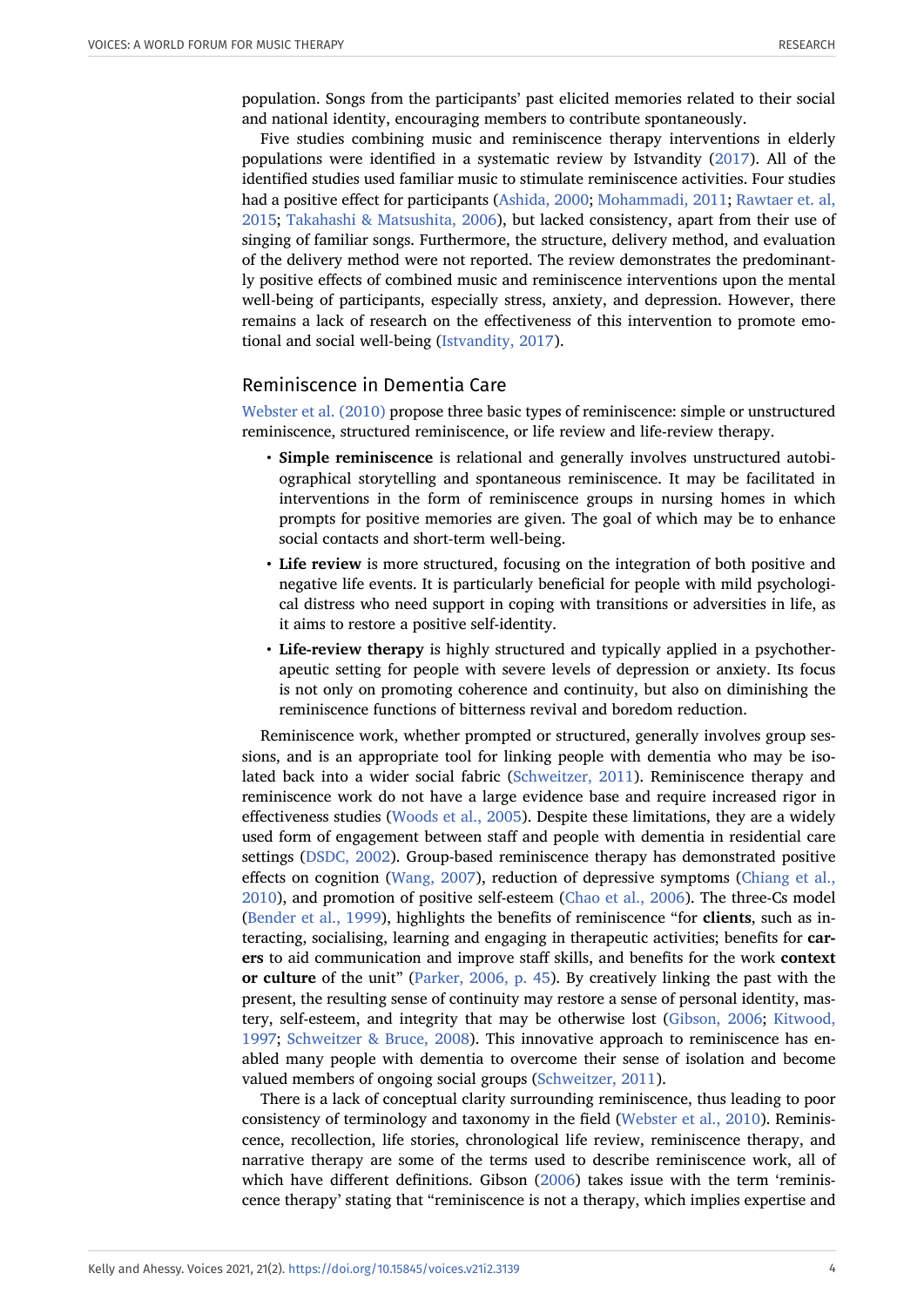population. Songs from the participants' past elicited memories related to their social and national identity, encouraging members to contribute spontaneously.

Five studies combining music and reminiscence therapy interventions in elderly populations were identified in a systematic review by Istvandity ([2017](#page-22-5)). All of the identified studies used familiar music to stimulate reminiscence activities. Four studies had a positive effect for participants [\(Ashida, 2000;](#page-20-9) [Mohammadi, 2011](#page-24-4); [Rawtaer et. al,](#page-24-5) [2015](#page-24-5); [Takahashi & Matsushita, 2006](#page-25-8)), but lacked consistency, apart from their use of singing of familiar songs. Furthermore, the structure, delivery method, and evaluation of the delivery method were not reported. The review demonstrates the predominantly positive effects of combined music and reminiscence interventions upon the mental well-being of participants, especially stress, anxiety, and depression. However, there remains a lack of research on the effectiveness of this intervention to promote emotional and social well-being ([Istvandity, 2017](#page-22-5)).

# Reminiscence in Dementia Care

[Webster et al. \(2010\)](#page-26-7) propose three basic types of reminiscence: simple or unstructured reminiscence, structured reminiscence, or life review and life-review therapy.

- **Simple reminiscence** is relational and generally involves unstructured autobiographical storytelling and spontaneous reminiscence. It may be facilitated in interventions in the form of reminiscence groups in nursing homes in which prompts for positive memories are given. The goal of which may be to enhance social contacts and short-term well-being.
- **Life review** is more structured, focusing on the integration of both positive and negative life events. It is particularly beneficial for people with mild psychological distress who need support in coping with transitions or adversities in life, as it aims to restore a positive self-identity.
- **Life-review therapy** is highly structured and typically applied in a psychotherapeutic setting for people with severe levels of depression or anxiety. Its focus is not only on promoting coherence and continuity, but also on diminishing the reminiscence functions of bitterness revival and boredom reduction.

Reminiscence work, whether prompted or structured, generally involves group sessions, and is an appropriate tool for linking people with dementia who may be isolated back into a wider social fabric ([Schweitzer, 2011\)](#page-25-9). Reminiscence therapy and reminiscence work do not have a large evidence base and require increased rigor in effectiveness studies ([Woods et al., 2005](#page-26-2)). Despite these limitations, they are a widely used form of engagement between staff and people with dementia in residential care settings [\(DSDC, 2002\)](#page-22-6). Group-based reminiscence therapy has demonstrated positive effects on cognition [\(Wang, 2007\)](#page-26-8), reduction of depressive symptoms ([Chiang et al.,](#page-21-13) [2010](#page-21-13)), and promotion of positive self-esteem [\(Chao et al., 2006](#page-21-14)). The three-Cs model ([Bender et al., 1999\)](#page-20-10), highlights the benefits of reminiscence "for **clients**, such as interacting, socialising, learning and engaging in therapeutic activities; benefits for **carers** to aid communication and improve staff skills, and benefits for the work **context or culture** of the unit" [\(Parker, 2006, p. 45\)](#page-24-6). By creatively linking the past with the present, the resulting sense of continuity may restore a sense of personal identity, mastery, self-esteem, and integrity that may be otherwise lost [\(Gibson, 2006](#page-22-7); [Kitwood,](#page-23-3) [1997](#page-23-3); [Schweitzer & Bruce, 2008\)](#page-25-10). This innovative approach to reminiscence has enabled many people with dementia to overcome their sense of isolation and become valued members of ongoing social groups ([Schweitzer, 2011\)](#page-25-9).

There is a lack of conceptual clarity surrounding reminiscence, thus leading to poor consistency of terminology and taxonomy in the field [\(Webster et al., 2010](#page-26-7)). Reminiscence, recollection, life stories, chronological life review, reminiscence therapy, and narrative therapy are some of the terms used to describe reminiscence work, all of which have different definitions. Gibson [\(2006\)](#page-22-7) takes issue with the term 'reminiscence therapy' stating that "reminiscence is not a therapy, which implies expertise and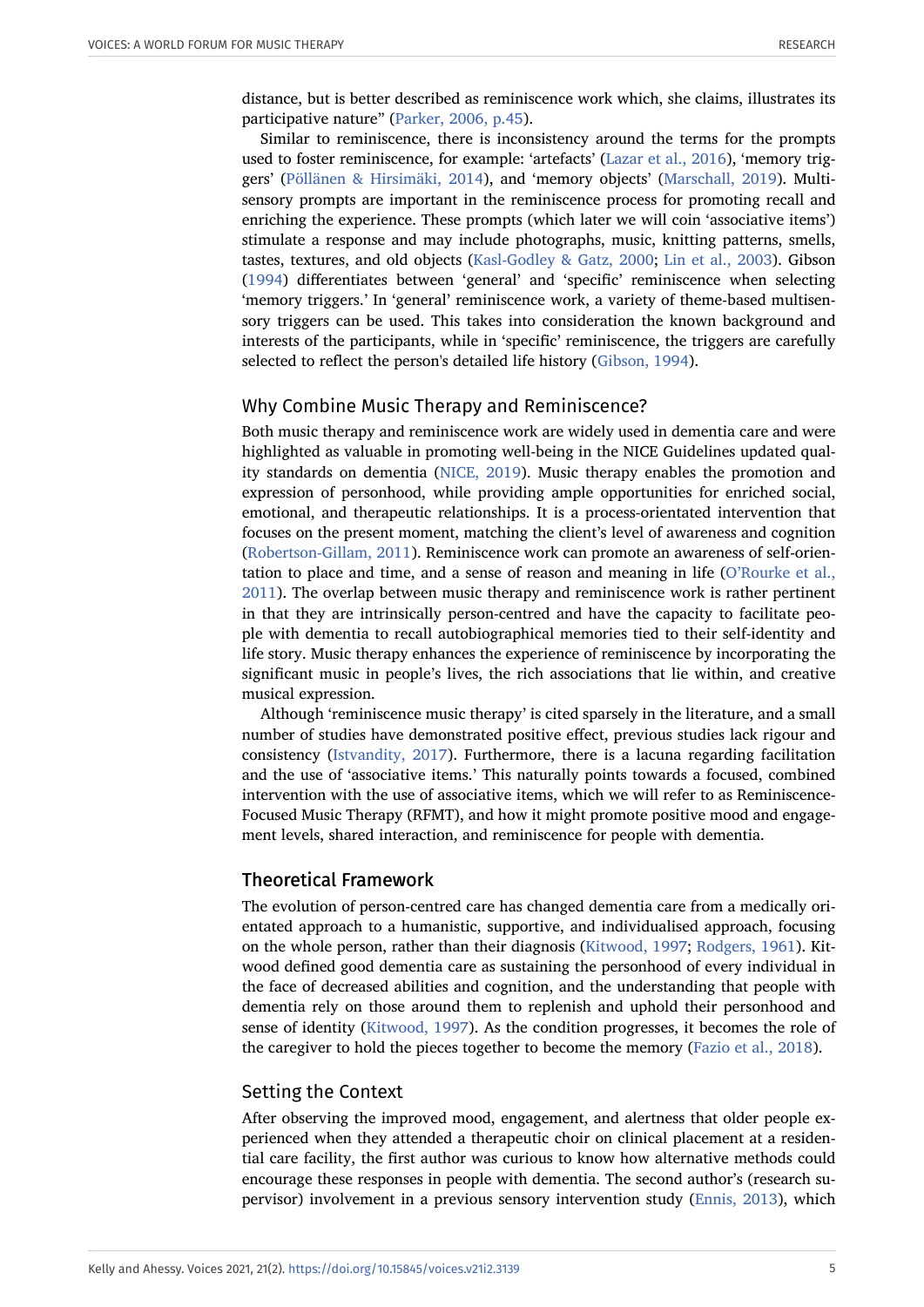distance, but is better described as reminiscence work which, she claims, illustrates its participative nature" ([Parker, 2006, p.45](#page-24-6)).

Similar to reminiscence, there is inconsistency around the terms for the prompts used to foster reminiscence, for example: 'artefacts' ([Lazar et al., 2016](#page-23-9)), 'memory triggers' [\(Pöllänen & Hirsimäki, 2014\)](#page-24-7), and 'memory objects' ([Marschall, 2019\)](#page-23-10). Multisensory prompts are important in the reminiscence process for promoting recall and enriching the experience. These prompts (which later we will coin 'associative items') stimulate a response and may include photographs, music, knitting patterns, smells, tastes, textures, and old objects [\(Kasl-Godley & Gatz, 2000;](#page-23-11) [Lin et al., 2003\)](#page-23-12). Gibson ([1994](#page-22-8)) differentiates between 'general' and 'specific' reminiscence when selecting 'memory triggers.' In 'general' reminiscence work, a variety of theme-based multisensory triggers can be used. This takes into consideration the known background and interests of the participants, while in 'specific' reminiscence, the triggers are carefully selected to reflect the person's detailed life history ([Gibson, 1994\)](#page-22-8).

# Why Combine Music Therapy and Reminiscence?

Both music therapy and reminiscence work are widely used in dementia care and were highlighted as valuable in promoting well-being in the NICE Guidelines updated quality standards on dementia ([NICE, 2019\)](#page-24-8). Music therapy enables the promotion and expression of personhood, while providing ample opportunities for enriched social, emotional, and therapeutic relationships. It is a process-orientated intervention that focuses on the present moment, matching the client's level of awareness and cognition ([Robertson-Gillam, 2011](#page-24-9)). Reminiscence work can promote an awareness of self-orientation to place and time, and a sense of reason and meaning in life ([O'Rourke et al.,](#page-24-10) [2011](#page-24-10)). The overlap between music therapy and reminiscence work is rather pertinent in that they are intrinsically person-centred and have the capacity to facilitate people with dementia to recall autobiographical memories tied to their self-identity and life story. Music therapy enhances the experience of reminiscence by incorporating the significant music in people's lives, the rich associations that lie within, and creative musical expression.

Although 'reminiscence music therapy' is cited sparsely in the literature, and a small number of studies have demonstrated positive effect, previous studies lack rigour and consistency ([Istvandity, 2017](#page-22-5)). Furthermore, there is a lacuna regarding facilitation and the use of 'associative items.' This naturally points towards a focused, combined intervention with the use of associative items, which we will refer to as Reminiscence-Focused Music Therapy (RFMT), and how it might promote positive mood and engagement levels, shared interaction, and reminiscence for people with dementia.

#### Theoretical Framework

The evolution of person-centred care has changed dementia care from a medically orientated approach to a humanistic, supportive, and individualised approach, focusing on the whole person, rather than their diagnosis ([Kitwood, 1997](#page-23-3); [Rodgers, 1961\)](#page-24-11). Kitwood defined good dementia care as sustaining the personhood of every individual in the face of decreased abilities and cognition, and the understanding that people with dementia rely on those around them to replenish and uphold their personhood and sense of identity [\(Kitwood, 1997](#page-23-3)). As the condition progresses, it becomes the role of the caregiver to hold the pieces together to become the memory ([Fazio et al., 2018\)](#page-22-9).

#### Setting the Context

After observing the improved mood, engagement, and alertness that older people experienced when they attended a therapeutic choir on clinical placement at a residential care facility, the first author was curious to know how alternative methods could encourage these responses in people with dementia. The second author's (research supervisor) involvement in a previous sensory intervention study ([Ennis, 2013](#page-22-10)), which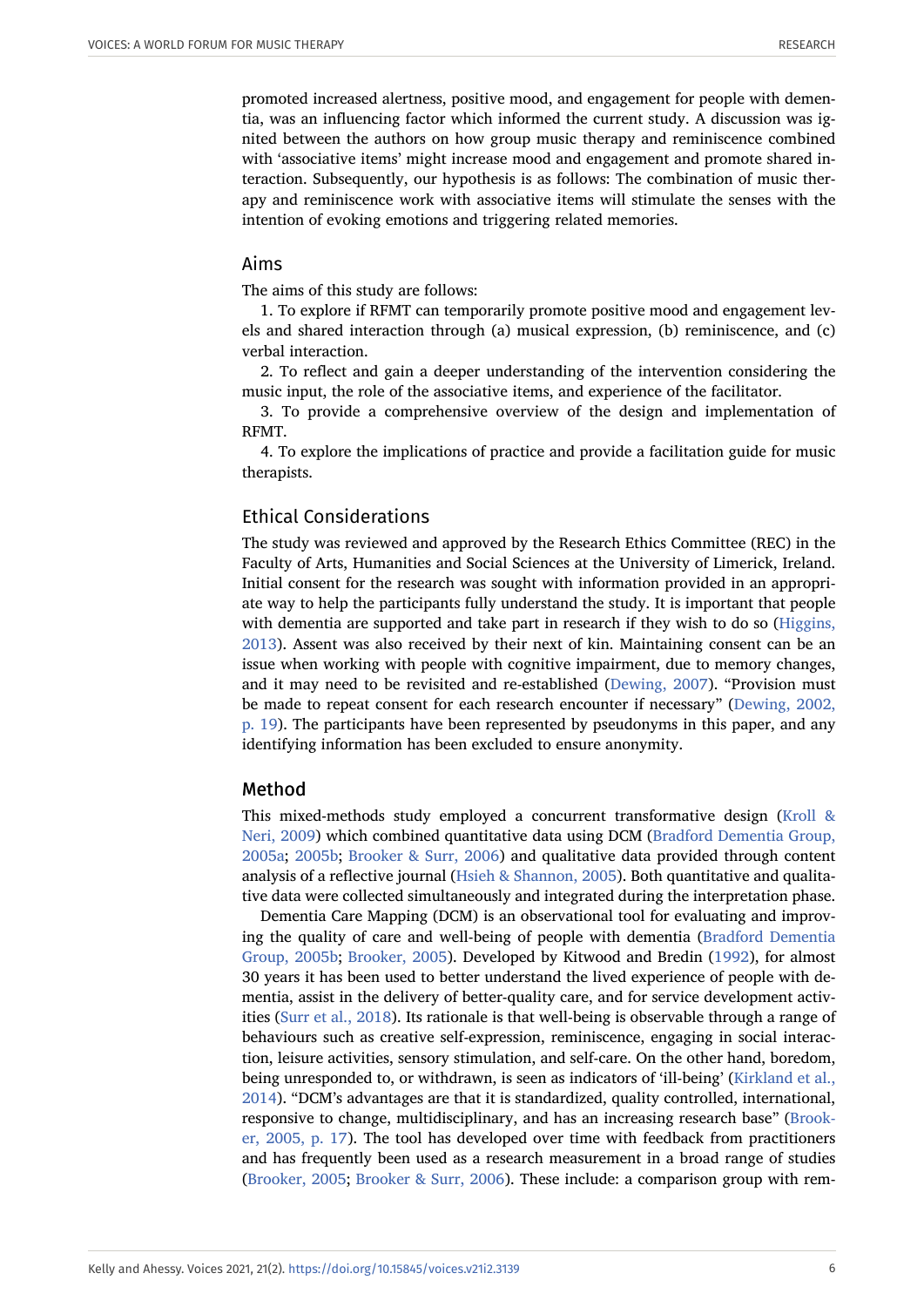promoted increased alertness, positive mood, and engagement for people with dementia, was an influencing factor which informed the current study. A discussion was ignited between the authors on how group music therapy and reminiscence combined with 'associative items' might increase mood and engagement and promote shared interaction. Subsequently, our hypothesis is as follows: The combination of music therapy and reminiscence work with associative items will stimulate the senses with the intention of evoking emotions and triggering related memories.

#### Aims

The aims of this study are follows:

1. To explore if RFMT can temporarily promote positive mood and engagement levels and shared interaction through (a) musical expression, (b) reminiscence, and (c) verbal interaction.

2. To reflect and gain a deeper understanding of the intervention considering the music input, the role of the associative items, and experience of the facilitator.

3. To provide a comprehensive overview of the design and implementation of RFMT.

4. To explore the implications of practice and provide a facilitation guide for music therapists.

# Ethical Considerations

The study was reviewed and approved by the Research Ethics Committee (REC) in the Faculty of Arts, Humanities and Social Sciences at the University of Limerick, Ireland. Initial consent for the research was sought with information provided in an appropriate way to help the participants fully understand the study. It is important that people with dementia are supported and take part in research if they wish to do so [\(Higgins,](#page-22-11) [2013](#page-22-11)). Assent was also received by their next of kin. Maintaining consent can be an issue when working with people with cognitive impairment, due to memory changes, and it may need to be revisited and re-established [\(Dewing, 2007](#page-22-12)). "Provision must be made to repeat consent for each research encounter if necessary" [\(Dewing, 2002,](#page-22-13) [p. 19\)](#page-22-13). The participants have been represented by pseudonyms in this paper, and any identifying information has been excluded to ensure anonymity.

#### Method

This mixed-methods study employed a concurrent transformative design [\(Kroll &](#page-23-13) [Neri, 2009](#page-23-13)) which combined quantitative data using DCM ([Bradford Dementia Group,](#page-20-11) [2005a;](#page-20-11) [2005b](#page-20-12); [Brooker & Surr, 2006\)](#page-21-15) and qualitative data provided through content analysis of a reflective journal [\(Hsieh & Shannon, 2005\)](#page-22-14). Both quantitative and qualitative data were collected simultaneously and integrated during the interpretation phase.

Dementia Care Mapping (DCM) is an observational tool for evaluating and improving the quality of care and well-being of people with dementia [\(Bradford Dementia](#page-20-12) [Group, 2005b;](#page-20-12) [Brooker, 2005](#page-21-16)). Developed by Kitwood and Bredin [\(1992\)](#page-23-14), for almost 30 years it has been used to better understand the lived experience of people with dementia, assist in the delivery of better-quality care, and for service development activities ([Surr et al., 2018](#page-25-11)). Its rationale is that well-being is observable through a range of behaviours such as creative self-expression, reminiscence, engaging in social interaction, leisure activities, sensory stimulation, and self-care. On the other hand, boredom, being unresponded to, or withdrawn, is seen as indicators of 'ill-being' [\(Kirkland et al.,](#page-23-15) [2014](#page-23-15)). "DCM's advantages are that it is standardized, quality controlled, international, responsive to change, multidisciplinary, and has an increasing research base" [\(Brook](#page-21-16)[er, 2005, p. 17\)](#page-21-16). The tool has developed over time with feedback from practitioners and has frequently been used as a research measurement in a broad range of studies ([Brooker, 2005](#page-21-16); [Brooker & Surr, 2006](#page-21-15)). These include: a comparison group with rem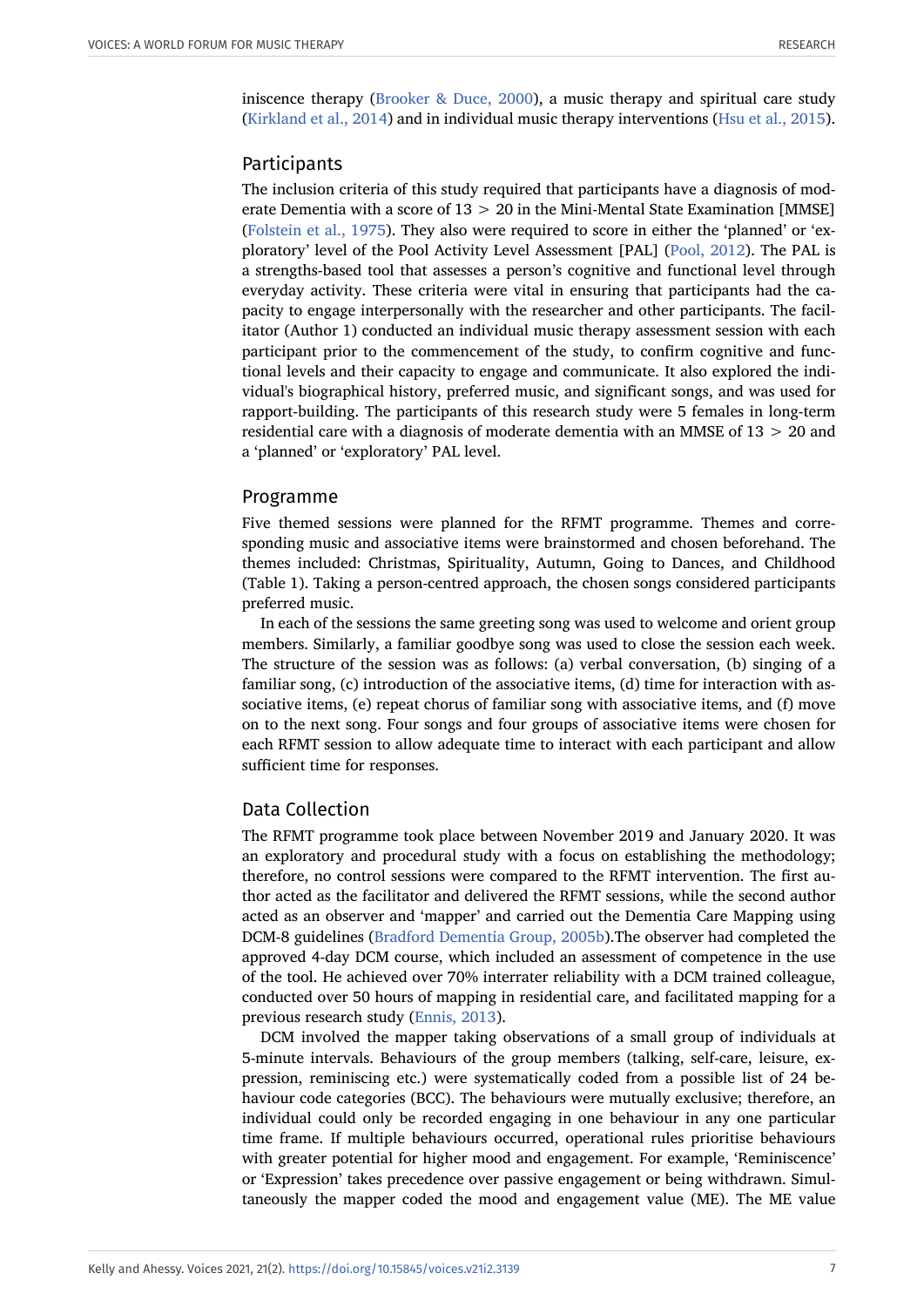iniscence therapy [\(Brooker & Duce, 2000\)](#page-21-17), a music therapy and spiritual care study ([Kirkland et al., 2014\)](#page-23-15) and in individual music therapy interventions ([Hsu et al., 2015](#page-22-1)).

#### Participants

The inclusion criteria of this study required that participants have a diagnosis of moderate Dementia with a score of  $13 > 20$  in the Mini-Mental State Examination [MMSE] ([Folstein et al., 1975\)](#page-22-15). They also were required to score in either the 'planned' or 'exploratory' level of the Pool Activity Level Assessment [PAL] ([Pool, 2012](#page-24-12)). The PAL is a strengths-based tool that assesses a person's cognitive and functional level through everyday activity. These criteria were vital in ensuring that participants had the capacity to engage interpersonally with the researcher and other participants. The facilitator (Author 1) conducted an individual music therapy assessment session with each participant prior to the commencement of the study, to confirm cognitive and functional levels and their capacity to engage and communicate. It also explored the individual's biographical history, preferred music, and significant songs, and was used for rapport-building. The participants of this research study were 5 females in long-term residential care with a diagnosis of moderate dementia with an MMSE of 13 > 20 and a 'planned' or 'exploratory' PAL level.

#### Programme

Five themed sessions were planned for the RFMT programme. Themes and corresponding music and associative items were brainstormed and chosen beforehand. The themes included: Christmas, Spirituality, Autumn, Going to Dances, and Childhood (Table 1). Taking a person-centred approach, the chosen songs considered participants preferred music.

In each of the sessions the same greeting song was used to welcome and orient group members. Similarly, a familiar goodbye song was used to close the session each week. The structure of the session was as follows: (a) verbal conversation, (b) singing of a familiar song, (c) introduction of the associative items, (d) time for interaction with associative items, (e) repeat chorus of familiar song with associative items, and (f) move on to the next song. Four songs and four groups of associative items were chosen for each RFMT session to allow adequate time to interact with each participant and allow sufficient time for responses.

#### Data Collection

The RFMT programme took place between November 2019 and January 2020. It was an exploratory and procedural study with a focus on establishing the methodology; therefore, no control sessions were compared to the RFMT intervention. The first author acted as the facilitator and delivered the RFMT sessions, while the second author acted as an observer and 'mapper' and carried out the Dementia Care Mapping using DCM-8 guidelines [\(Bradford Dementia Group, 2005b\)](#page-20-12).The observer had completed the approved 4-day DCM course, which included an assessment of competence in the use of the tool. He achieved over 70% interrater reliability with a DCM trained colleague, conducted over 50 hours of mapping in residential care, and facilitated mapping for a previous research study [\(Ennis, 2013\)](#page-22-10).

DCM involved the mapper taking observations of a small group of individuals at 5-minute intervals. Behaviours of the group members (talking, self-care, leisure, expression, reminiscing etc.) were systematically coded from a possible list of 24 behaviour code categories (BCC). The behaviours were mutually exclusive; therefore, an individual could only be recorded engaging in one behaviour in any one particular time frame. If multiple behaviours occurred, operational rules prioritise behaviours with greater potential for higher mood and engagement. For example, 'Reminiscence' or 'Expression' takes precedence over passive engagement or being withdrawn. Simultaneously the mapper coded the mood and engagement value (ME). The ME value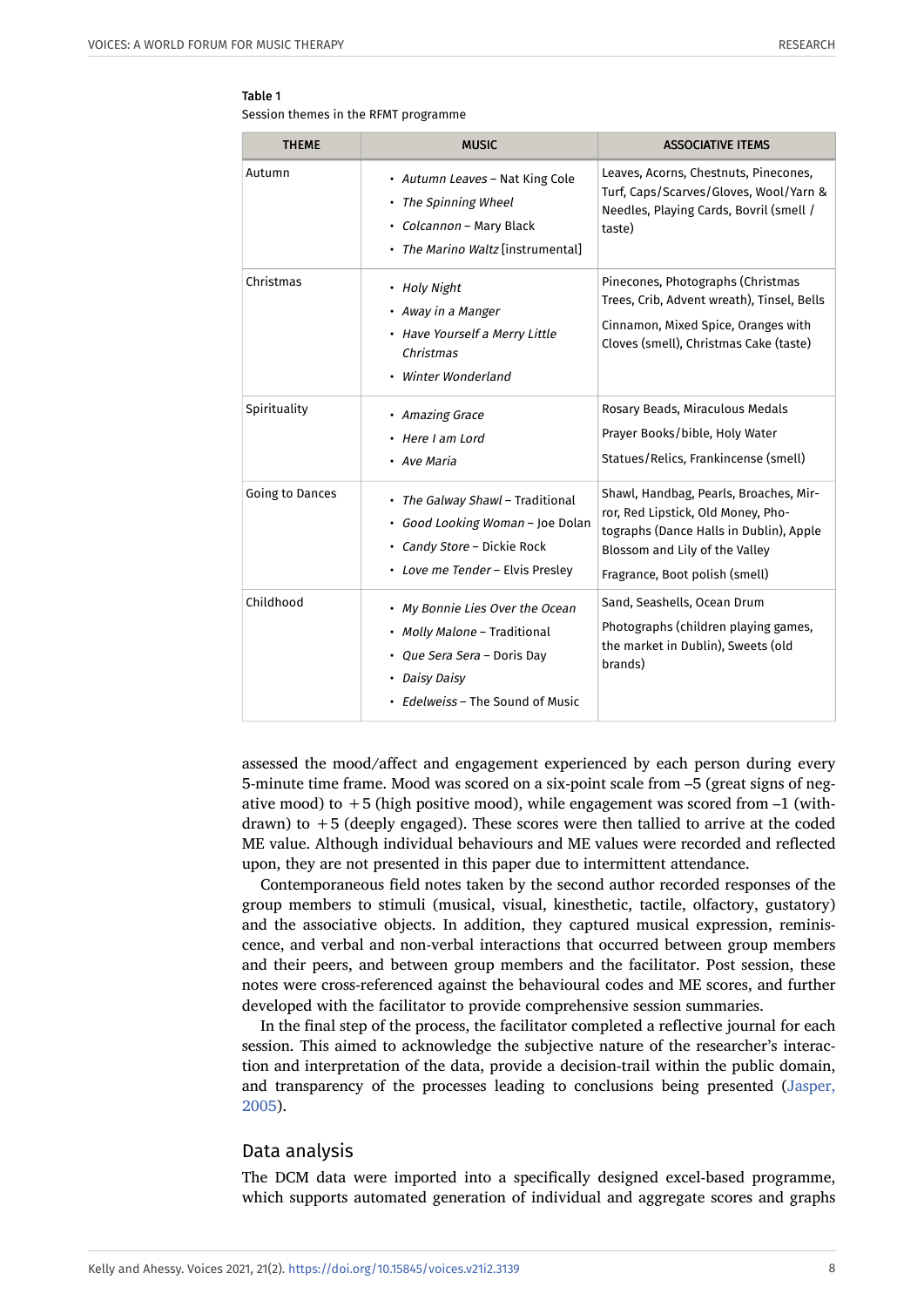#### Table 1

Session themes in the RFMT programme

| <b>THEME</b>    | <b>MUSIC</b>                                                                                                                                        | <b>ASSOCIATIVE ITEMS</b>                                                                                                                                                                    |
|-----------------|-----------------------------------------------------------------------------------------------------------------------------------------------------|---------------------------------------------------------------------------------------------------------------------------------------------------------------------------------------------|
| Autumn          | • Autumn Leaves - Nat King Cole<br>• The Spinning Wheel<br>• Colcannon - Mary Black<br>• The Marino Waltz [instrumental]                            | Leaves, Acorns, Chestnuts, Pinecones,<br>Turf, Caps/Scarves/Gloves, Wool/Yarn &<br>Needles, Playing Cards, Bovril (smell /<br>taste)                                                        |
| Christmas       | • Holy Night<br>• Away in a Manger<br>• Have Yourself a Merry Little<br>Christmas<br>Winter Wonderland                                              | Pinecones, Photographs (Christmas<br>Trees, Crib, Advent wreath), Tinsel, Bells<br>Cinnamon, Mixed Spice, Oranges with<br>Cloves (smell), Christmas Cake (taste)                            |
| Spirituality    | • Amazing Grace<br>• Here I am Lord<br>• Ave Maria                                                                                                  | Rosary Beads, Miraculous Medals<br>Prayer Books/bible, Holy Water<br>Statues/Relics, Frankincense (smell)                                                                                   |
| Going to Dances | • The Galway Shawl - Traditional<br>· Good Looking Woman - Joe Dolan<br>· Candy Store - Dickie Rock<br>• Love me Tender - Elvis Preslev             | Shawl, Handbag, Pearls, Broaches, Mir-<br>ror, Red Lipstick, Old Money, Pho-<br>tographs (Dance Halls in Dublin), Apple<br>Blossom and Lily of the Valley<br>Fragrance, Boot polish (smell) |
| Childhood       | • My Bonnie Lies Over the Ocean<br>• Molly Malone - Traditional<br>• Que Sera Sera – Doris Day<br>• Daisy Daisy<br>• Edelweiss – The Sound of Music | Sand, Seashells, Ocean Drum<br>Photographs (children playing games,<br>the market in Dublin), Sweets (old<br>brands)                                                                        |

assessed the mood/affect and engagement experienced by each person during every 5-minute time frame. Mood was scored on a six-point scale from –5 (great signs of negative mood) to  $+5$  (high positive mood), while engagement was scored from  $-1$  (withdrawn) to  $+5$  (deeply engaged). These scores were then tallied to arrive at the coded ME value. Although individual behaviours and ME values were recorded and reflected upon, they are not presented in this paper due to intermittent attendance.

Contemporaneous field notes taken by the second author recorded responses of the group members to stimuli (musical, visual, kinesthetic, tactile, olfactory, gustatory) and the associative objects. In addition, they captured musical expression, reminiscence, and verbal and non-verbal interactions that occurred between group members and their peers, and between group members and the facilitator. Post session, these notes were cross-referenced against the behavioural codes and ME scores, and further developed with the facilitator to provide comprehensive session summaries.

In the final step of the process, the facilitator completed a reflective journal for each session. This aimed to acknowledge the subjective nature of the researcher's interaction and interpretation of the data, provide a decision-trail within the public domain, and transparency of the processes leading to conclusions being presented [\(Jasper,](#page-22-16) [2005](#page-22-16)).

# Data analysis

The DCM data were imported into a specifically designed excel-based programme, which supports automated generation of individual and aggregate scores and graphs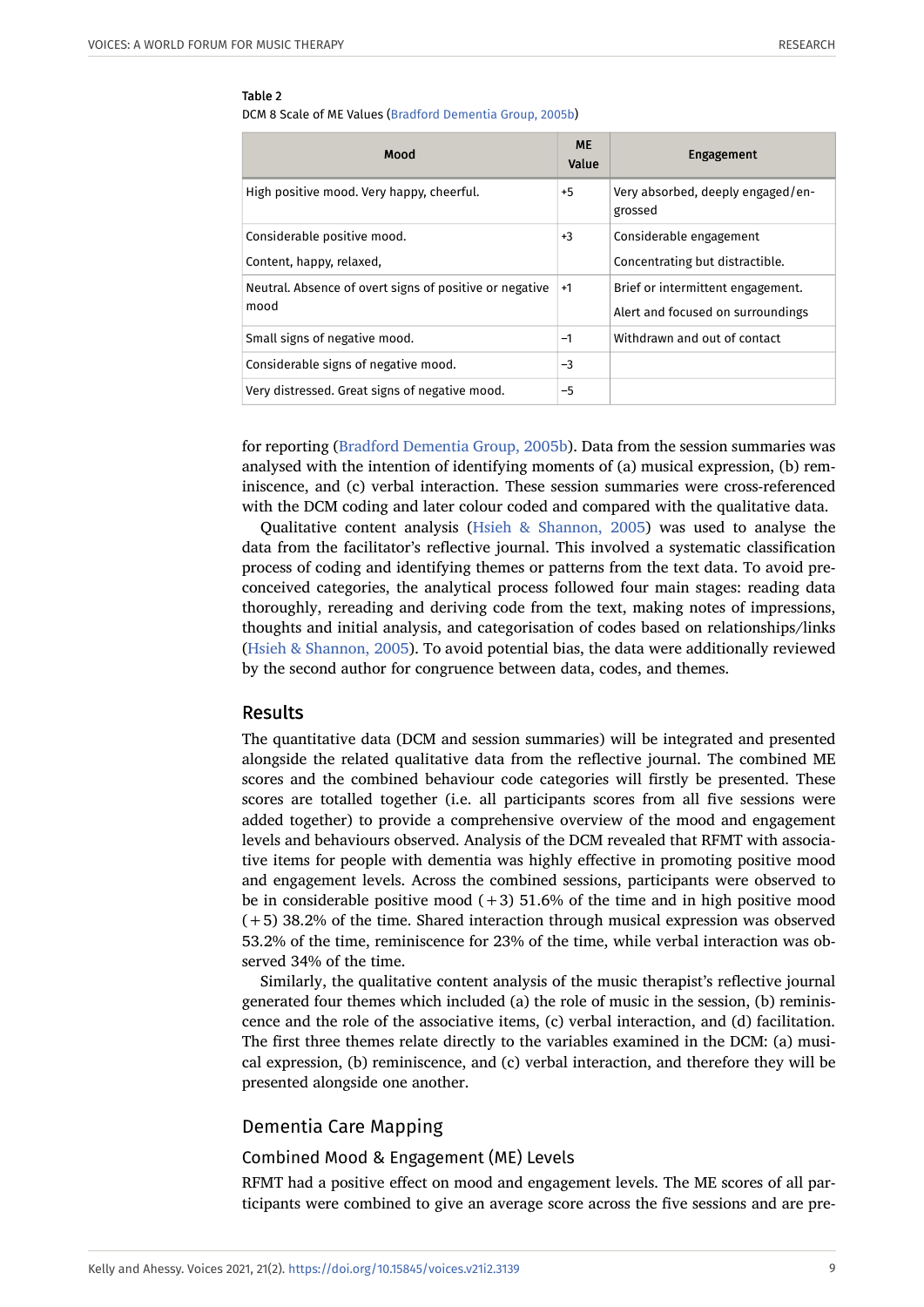#### Table 2

DCM 8 Scale of ME Values ([Bradford Dementia Group, 2005b](#page-20-12))

| Mood                                                            | <b>ME</b><br>Value | <b>Engagement</b>                                                      |
|-----------------------------------------------------------------|--------------------|------------------------------------------------------------------------|
| High positive mood. Very happy, cheerful.                       |                    | Very absorbed, deeply engaged/en-<br>grossed                           |
| Considerable positive mood.                                     |                    | Considerable engagement                                                |
| Content, happy, relaxed,                                        |                    | Concentrating but distractible.                                        |
| Neutral. Absence of overt signs of positive or negative<br>mood |                    | Brief or intermittent engagement.<br>Alert and focused on surroundings |
| Small signs of negative mood.                                   | $-1$               | Withdrawn and out of contact                                           |
| Considerable signs of negative mood.                            | $-3$               |                                                                        |
| Very distressed. Great signs of negative mood.                  | $-5$               |                                                                        |

for reporting [\(Bradford Dementia Group, 2005b\)](#page-20-12). Data from the session summaries was analysed with the intention of identifying moments of (a) musical expression, (b) reminiscence, and (c) verbal interaction. These session summaries were cross-referenced with the DCM coding and later colour coded and compared with the qualitative data.

Qualitative content analysis ([Hsieh & Shannon, 2005](#page-22-14)) was used to analyse the data from the facilitator's reflective journal. This involved a systematic classification process of coding and identifying themes or patterns from the text data. To avoid preconceived categories, the analytical process followed four main stages: reading data thoroughly, rereading and deriving code from the text, making notes of impressions, thoughts and initial analysis, and categorisation of codes based on relationships/links ([Hsieh & Shannon, 2005\)](#page-22-14). To avoid potential bias, the data were additionally reviewed by the second author for congruence between data, codes, and themes.

#### Results

The quantitative data (DCM and session summaries) will be integrated and presented alongside the related qualitative data from the reflective journal. The combined ME scores and the combined behaviour code categories will firstly be presented. These scores are totalled together (i.e. all participants scores from all five sessions were added together) to provide a comprehensive overview of the mood and engagement levels and behaviours observed. Analysis of the DCM revealed that RFMT with associative items for people with dementia was highly effective in promoting positive mood and engagement levels. Across the combined sessions, participants were observed to be in considerable positive mood  $(+3)$  51.6% of the time and in high positive mood (+5) 38.2% of the time. Shared interaction through musical expression was observed 53.2% of the time, reminiscence for 23% of the time, while verbal interaction was observed 34% of the time.

Similarly, the qualitative content analysis of the music therapist's reflective journal generated four themes which included (a) the role of music in the session, (b) reminiscence and the role of the associative items, (c) verbal interaction, and (d) facilitation. The first three themes relate directly to the variables examined in the DCM: (a) musical expression, (b) reminiscence, and (c) verbal interaction, and therefore they will be presented alongside one another.

#### Dementia Care Mapping

#### Combined Mood & Engagement (ME) Levels

RFMT had a positive effect on mood and engagement levels. The ME scores of all participants were combined to give an average score across the five sessions and are pre-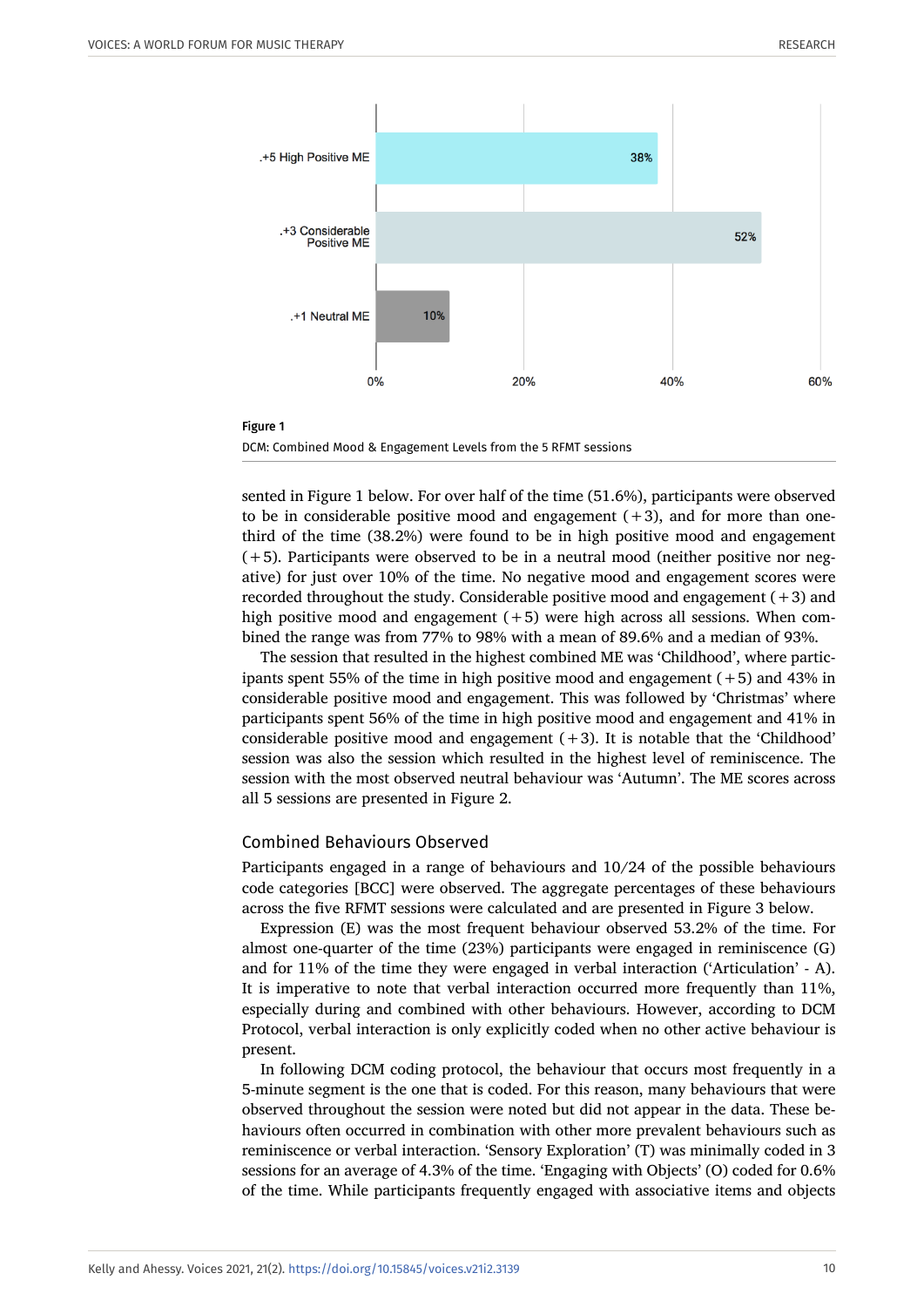



sented in Figure 1 below. For over half of the time (51.6%), participants were observed to be in considerable positive mood and engagement  $(+3)$ , and for more than onethird of the time (38.2%) were found to be in high positive mood and engagement  $(+5)$ . Participants were observed to be in a neutral mood (neither positive nor negative) for just over 10% of the time. No negative mood and engagement scores were recorded throughout the study. Considerable positive mood and engagement (+3) and high positive mood and engagement  $(+5)$  were high across all sessions. When combined the range was from 77% to 98% with a mean of 89.6% and a median of 93%.

The session that resulted in the highest combined ME was 'Childhood', where participants spent 55% of the time in high positive mood and engagement (+5) and 43% in considerable positive mood and engagement. This was followed by 'Christmas' where participants spent 56% of the time in high positive mood and engagement and 41% in considerable positive mood and engagement  $(+3)$ . It is notable that the 'Childhood' session was also the session which resulted in the highest level of reminiscence. The session with the most observed neutral behaviour was 'Autumn'. The ME scores across all 5 sessions are presented in Figure 2.

#### Combined Behaviours Observed

Participants engaged in a range of behaviours and 10/24 of the possible behaviours code categories [BCC] were observed. The aggregate percentages of these behaviours across the five RFMT sessions were calculated and are presented in Figure 3 below.

Expression (E) was the most frequent behaviour observed 53.2% of the time. For almost one-quarter of the time (23%) participants were engaged in reminiscence (G) and for 11% of the time they were engaged in verbal interaction ('Articulation' - A). It is imperative to note that verbal interaction occurred more frequently than 11%, especially during and combined with other behaviours. However, according to DCM Protocol, verbal interaction is only explicitly coded when no other active behaviour is present.

In following DCM coding protocol, the behaviour that occurs most frequently in a 5-minute segment is the one that is coded. For this reason, many behaviours that were observed throughout the session were noted but did not appear in the data. These behaviours often occurred in combination with other more prevalent behaviours such as reminiscence or verbal interaction. 'Sensory Exploration' (T) was minimally coded in 3 sessions for an average of 4.3% of the time. 'Engaging with Objects' (O) coded for 0.6% of the time. While participants frequently engaged with associative items and objects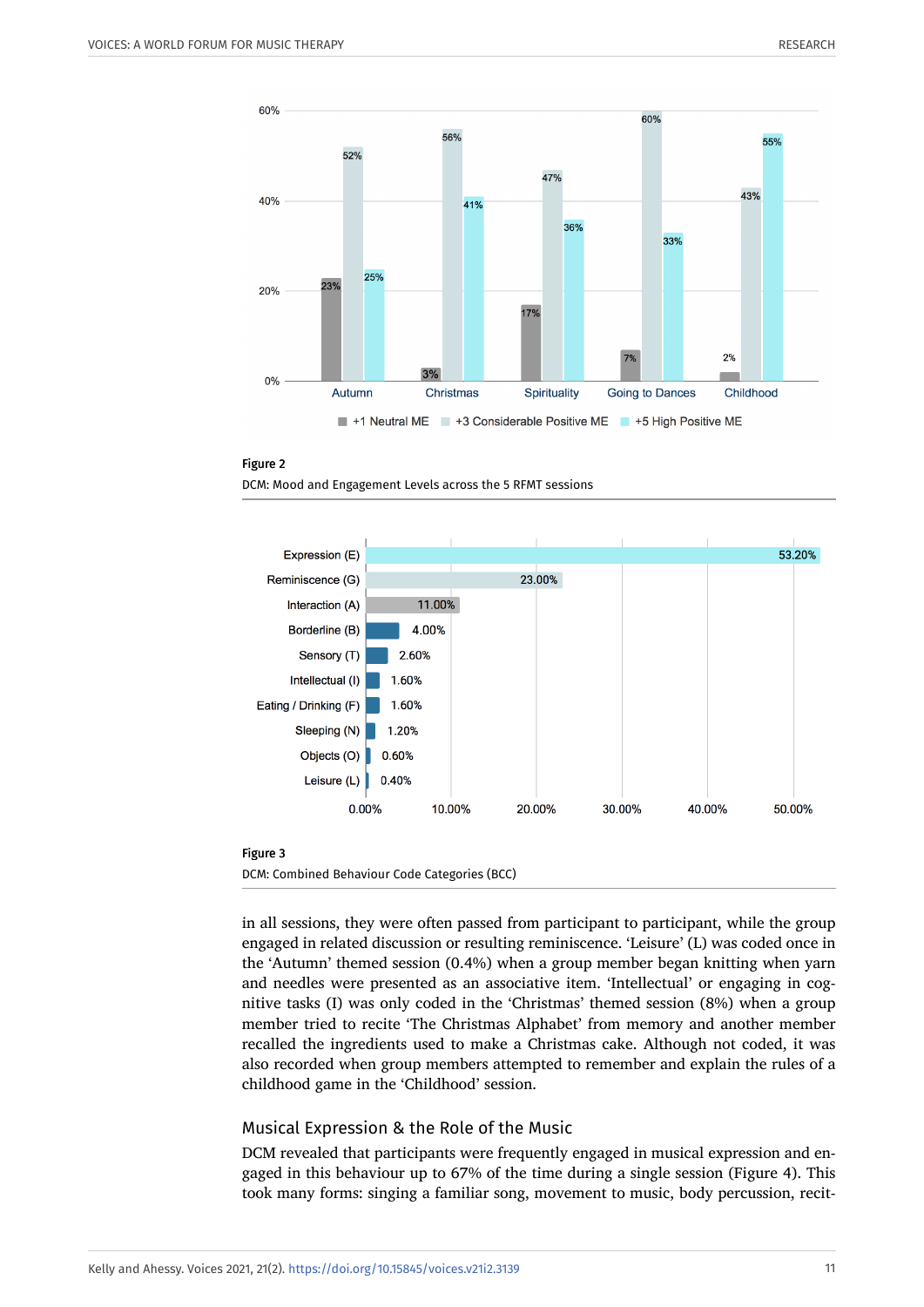







in all sessions, they were often passed from participant to participant, while the group engaged in related discussion or resulting reminiscence. 'Leisure' (L) was coded once in the 'Autumn' themed session (0.4%) when a group member began knitting when yarn and needles were presented as an associative item. 'Intellectual' or engaging in cognitive tasks (I) was only coded in the 'Christmas' themed session (8%) when a group member tried to recite 'The Christmas Alphabet' from memory and another member recalled the ingredients used to make a Christmas cake. Although not coded, it was also recorded when group members attempted to remember and explain the rules of a childhood game in the 'Childhood' session.

## Musical Expression & the Role of the Music

DCM revealed that participants were frequently engaged in musical expression and engaged in this behaviour up to 67% of the time during a single session (Figure 4). This took many forms: singing a familiar song, movement to music, body percussion, recit-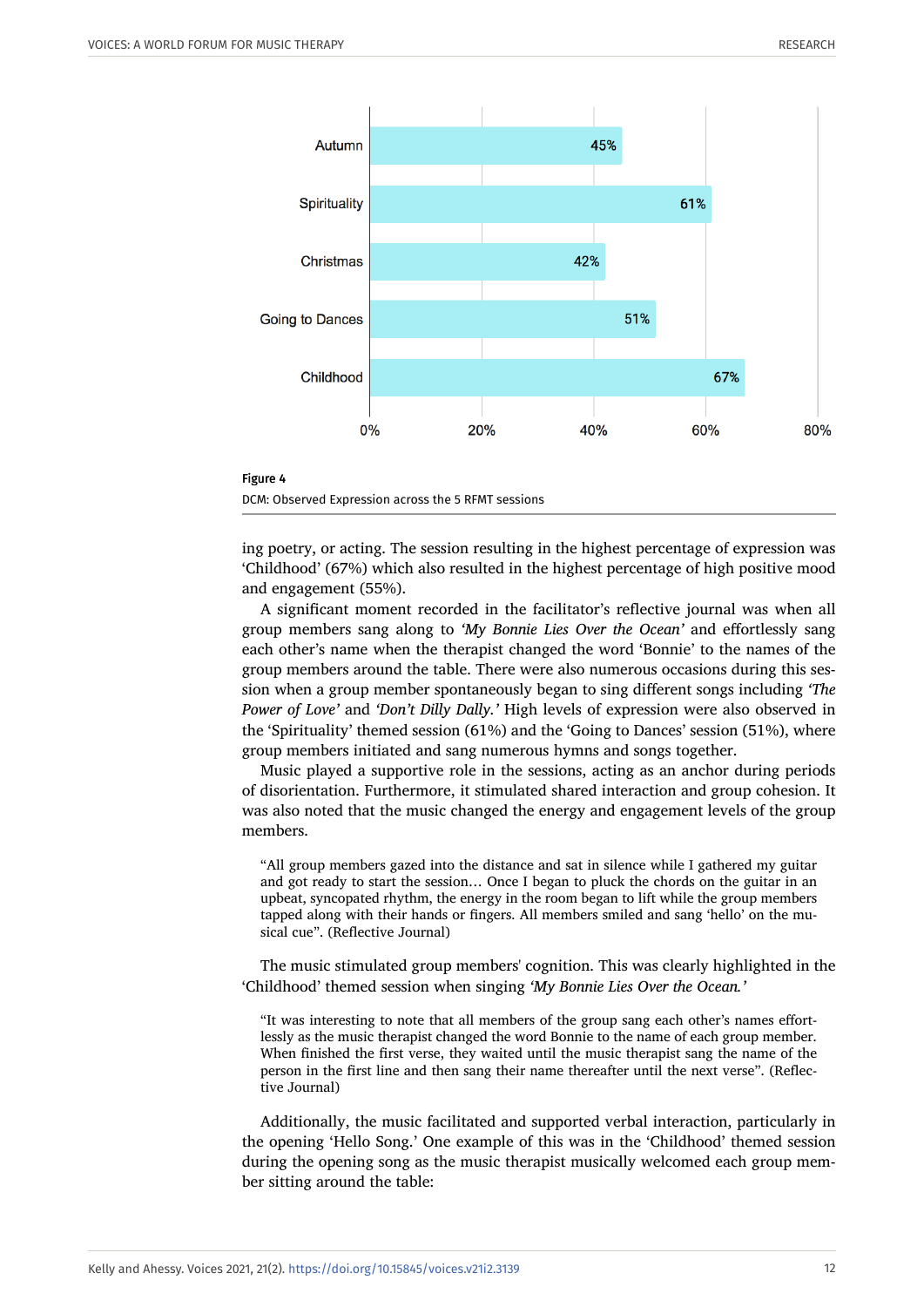



ing poetry, or acting. The session resulting in the highest percentage of expression was 'Childhood' (67%) which also resulted in the highest percentage of high positive mood and engagement (55%).

A significant moment recorded in the facilitator's reflective journal was when all group members sang along to *'My Bonnie Lies Over the Ocean'* and effortlessly sang each other's name when the therapist changed the word 'Bonnie' to the names of the group members around the table. There were also numerous occasions during this session when a group member spontaneously began to sing different songs including *'The Power of Love'* and *'Don't Dilly Dally.'* High levels of expression were also observed in the 'Spirituality' themed session (61%) and the 'Going to Dances' session (51%), where group members initiated and sang numerous hymns and songs together.

Music played a supportive role in the sessions, acting as an anchor during periods of disorientation. Furthermore, it stimulated shared interaction and group cohesion. It was also noted that the music changed the energy and engagement levels of the group members.

"All group members gazed into the distance and sat in silence while I gathered my guitar and got ready to start the session… Once I began to pluck the chords on the guitar in an upbeat, syncopated rhythm, the energy in the room began to lift while the group members tapped along with their hands or fingers. All members smiled and sang 'hello' on the musical cue". (Reflective Journal)

The music stimulated group members' cognition. This was clearly highlighted in the 'Childhood' themed session when singing *'My Bonnie Lies Over the Ocean.'*

"It was interesting to note that all members of the group sang each other's names effortlessly as the music therapist changed the word Bonnie to the name of each group member. When finished the first verse, they waited until the music therapist sang the name of the person in the first line and then sang their name thereafter until the next verse". (Reflective Journal)

Additionally, the music facilitated and supported verbal interaction, particularly in the opening 'Hello Song.' One example of this was in the 'Childhood' themed session during the opening song as the music therapist musically welcomed each group member sitting around the table: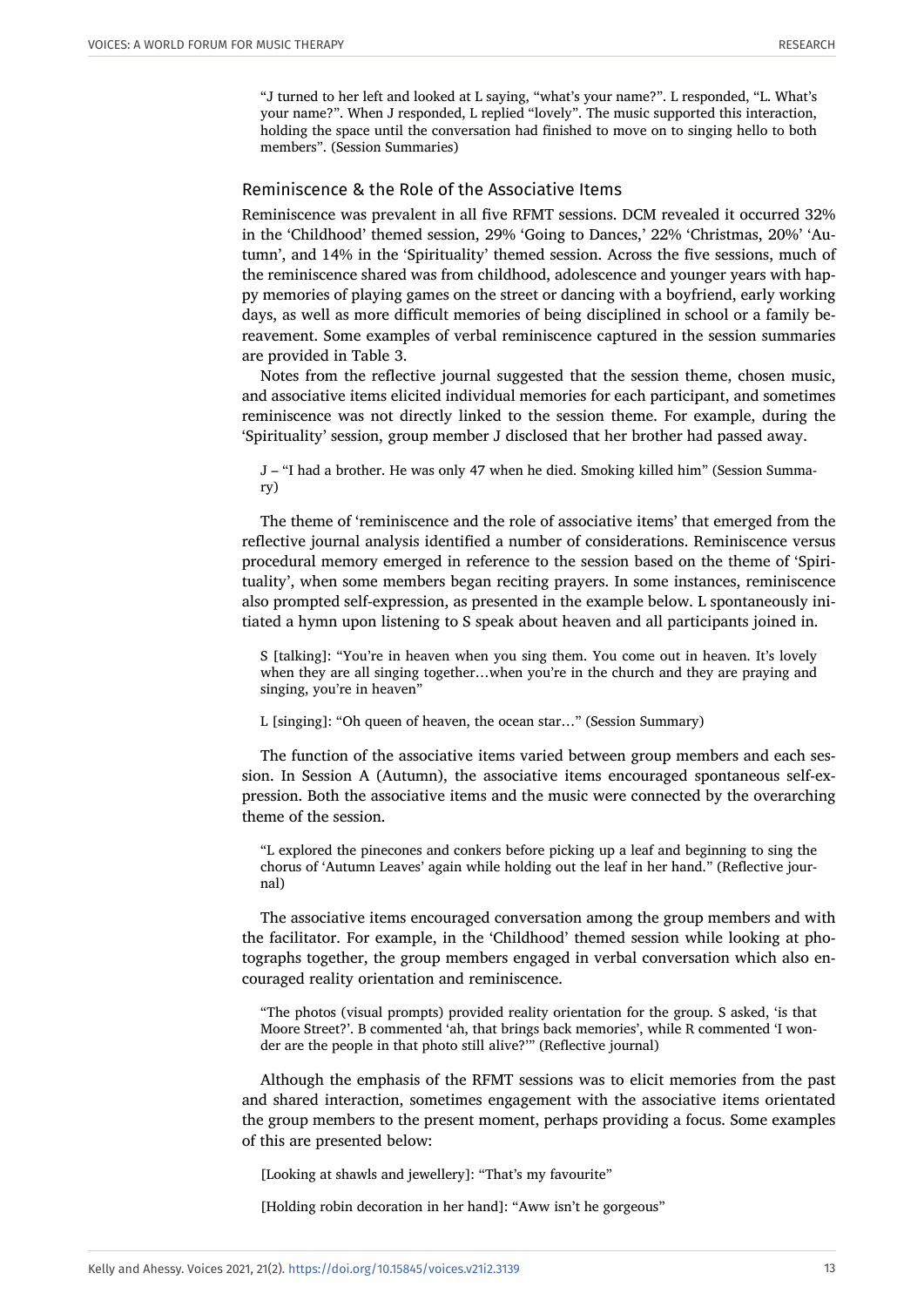"J turned to her left and looked at L saying, "what's your name?". L responded, "L. What's your name?". When J responded, L replied "lovely". The music supported this interaction, holding the space until the conversation had finished to move on to singing hello to both members". (Session Summaries)

#### Reminiscence & the Role of the Associative Items

Reminiscence was prevalent in all five RFMT sessions. DCM revealed it occurred 32% in the 'Childhood' themed session, 29% 'Going to Dances,' 22% 'Christmas, 20%' 'Autumn', and 14% in the 'Spirituality' themed session. Across the five sessions, much of the reminiscence shared was from childhood, adolescence and younger years with happy memories of playing games on the street or dancing with a boyfriend, early working days, as well as more difficult memories of being disciplined in school or a family bereavement. Some examples of verbal reminiscence captured in the session summaries are provided in Table 3.

Notes from the reflective journal suggested that the session theme, chosen music, and associative items elicited individual memories for each participant, and sometimes reminiscence was not directly linked to the session theme. For example, during the 'Spirituality' session, group member J disclosed that her brother had passed away.

J – "I had a brother. He was only 47 when he died. Smoking killed him" (Session Summary)

The theme of 'reminiscence and the role of associative items' that emerged from the reflective journal analysis identified a number of considerations. Reminiscence versus procedural memory emerged in reference to the session based on the theme of 'Spirituality', when some members began reciting prayers. In some instances, reminiscence also prompted self-expression, as presented in the example below. L spontaneously initiated a hymn upon listening to S speak about heaven and all participants joined in.

S [talking]: "You're in heaven when you sing them. You come out in heaven. It's lovely when they are all singing together...when you're in the church and they are praying and singing, you're in heaven"

L [singing]: "Oh queen of heaven, the ocean star…" (Session Summary)

The function of the associative items varied between group members and each session. In Session A (Autumn), the associative items encouraged spontaneous self-expression. Both the associative items and the music were connected by the overarching theme of the session.

"L explored the pinecones and conkers before picking up a leaf and beginning to sing the chorus of 'Autumn Leaves' again while holding out the leaf in her hand." (Reflective journal)

The associative items encouraged conversation among the group members and with the facilitator. For example, in the 'Childhood' themed session while looking at photographs together, the group members engaged in verbal conversation which also encouraged reality orientation and reminiscence.

"The photos (visual prompts) provided reality orientation for the group. S asked, 'is that Moore Street?'. B commented 'ah, that brings back memories', while R commented 'I wonder are the people in that photo still alive?'" (Reflective journal)

Although the emphasis of the RFMT sessions was to elicit memories from the past and shared interaction, sometimes engagement with the associative items orientated the group members to the present moment, perhaps providing a focus. Some examples of this are presented below:

[Looking at shawls and jewellery]: "That's my favourite"

[Holding robin decoration in her hand]: "Aww isn't he gorgeous"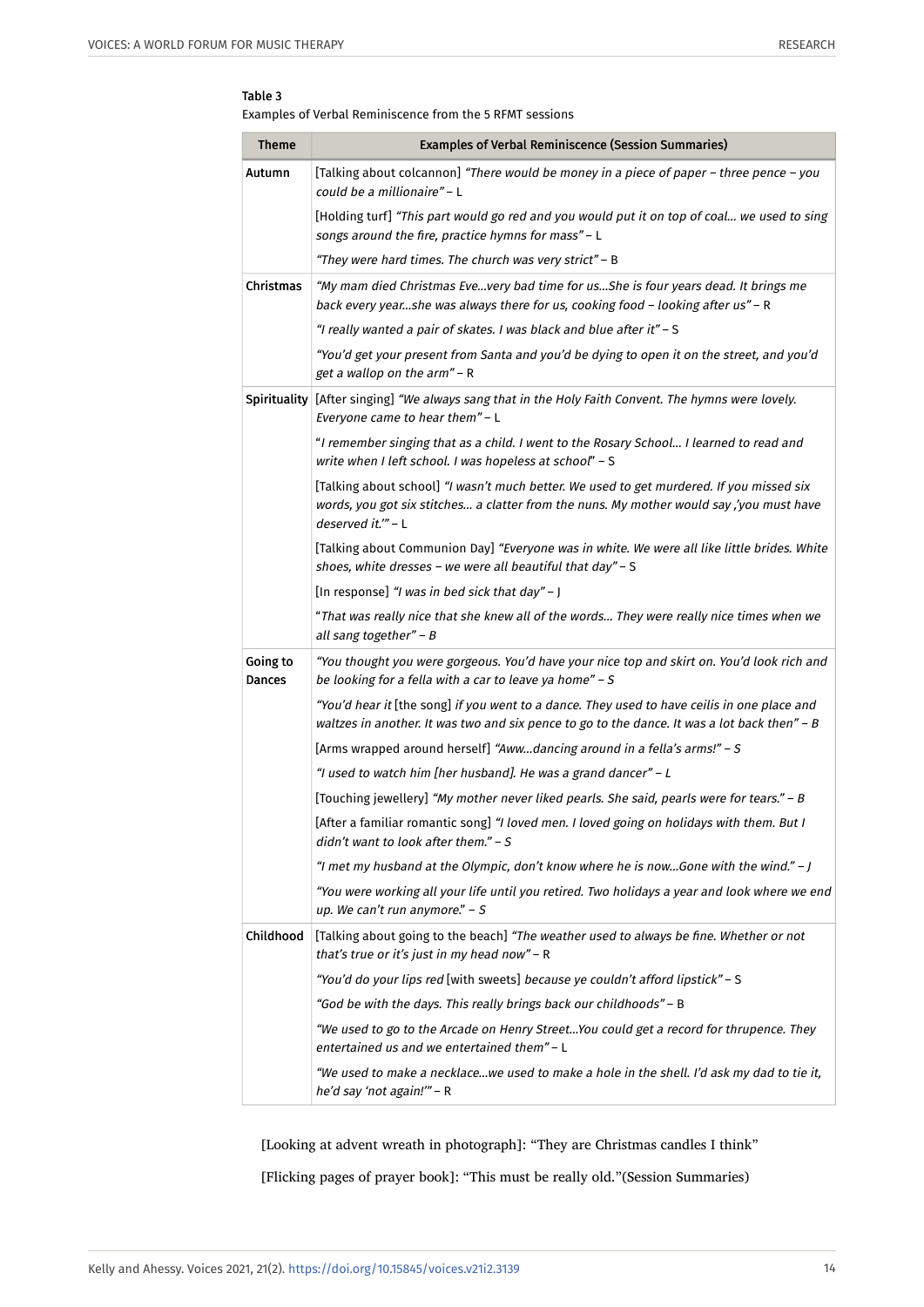#### Table 3

Examples of Verbal Reminiscence from the 5 RFMT sessions

| <b>Theme</b>       | <b>Examples of Verbal Reminiscence (Session Summaries)</b>                                                                                                                                                 |
|--------------------|------------------------------------------------------------------------------------------------------------------------------------------------------------------------------------------------------------|
| Autumn             | [Talking about colcannon] "There would be money in a piece of paper - three pence - you<br>could be a millionaire" - L                                                                                     |
|                    | [Holding turf] "This part would go red and you would put it on top of coal we used to sing<br>songs around the fire, practice hymns for mass" - L                                                          |
|                    | "They were hard times. The church was very strict" - B                                                                                                                                                     |
| Christmas          | "My mam died Christmas Evevery bad time for usShe is four years dead. It brings me<br>back every yearshe was always there for us, cooking food - looking after us" - R                                     |
|                    | "I really wanted a pair of skates. I was black and blue after it" - S                                                                                                                                      |
|                    | "You'd get your present from Santa and you'd be dying to open it on the street, and you'd<br>get a wallop on the arm" - R                                                                                  |
|                    | Spirituality   [After singing] "We always sang that in the Holy Faith Convent. The hymns were lovely.<br>Everyone came to hear them" - L                                                                   |
|                    | "I remember singing that as a child. I went to the Rosary School I learned to read and<br>write when I left school. I was hopeless at school" - S                                                          |
|                    | [Talking about school] "I wasn't much better. We used to get murdered. If you missed six<br>words, you got six stitches a clatter from the nuns. My mother would say ,'you must have<br>deserved it."" - L |
|                    | [Talking about Communion Day] "Everyone was in white. We were all like little brides. White<br>shoes, white dresses - we were all beautiful that day" - S                                                  |
|                    | [In response] "I was in bed sick that day" - J                                                                                                                                                             |
|                    | "That was really nice that she knew all of the words They were really nice times when we<br>all sang together" - B                                                                                         |
| Going to<br>Dances | "You thought you were gorgeous. You'd have your nice top and skirt on. You'd look rich and<br>be looking for a fella with a car to leave ya home" - S                                                      |
|                    | "You'd hear it [the song] if you went to a dance. They used to have ceilis in one place and<br>waltzes in another. It was two and six pence to go to the dance. It was a lot back then" - B                |
|                    | [Arms wrapped around herself] "Awwdancing around in a fella's arms!" - S                                                                                                                                   |
|                    | "I used to watch him [her husband]. He was a grand dancer" - L                                                                                                                                             |
|                    | [Touching jewellery] "My mother never liked pearls. She said, pearls were for tears." - B                                                                                                                  |
|                    | [After a familiar romantic song] "I loved men. I loved going on holidays with them. But I<br>didn't want to look after them." $- S$                                                                        |
|                    | "I met my husband at the Olympic, don't know where he is nowGone with the wind." - J                                                                                                                       |
|                    | "You were working all your life until you retired. Two holidays a year and look where we end<br>up. We can't run anymore." $- S$                                                                           |
| Childhood          | [Talking about going to the beach] "The weather used to always be fine. Whether or not<br>that's true or it's just in my head now" - R                                                                     |
|                    | "You'd do your lips red [with sweets] because ye couldn't afford lipstick" - S                                                                                                                             |
|                    | "God be with the days. This really brings back our childhoods" - B                                                                                                                                         |
|                    | "We used to go to the Arcade on Henry StreetYou could get a record for thrupence. They<br>entertained us and we entertained them" - L                                                                      |
|                    | "We used to make a necklacewe used to make a hole in the shell. I'd ask my dad to tie it,<br>he'd say 'not again!'" - R                                                                                    |

[Looking at advent wreath in photograph]: "They are Christmas candles I think"

[Flicking pages of prayer book]: "This must be really old."(Session Summaries)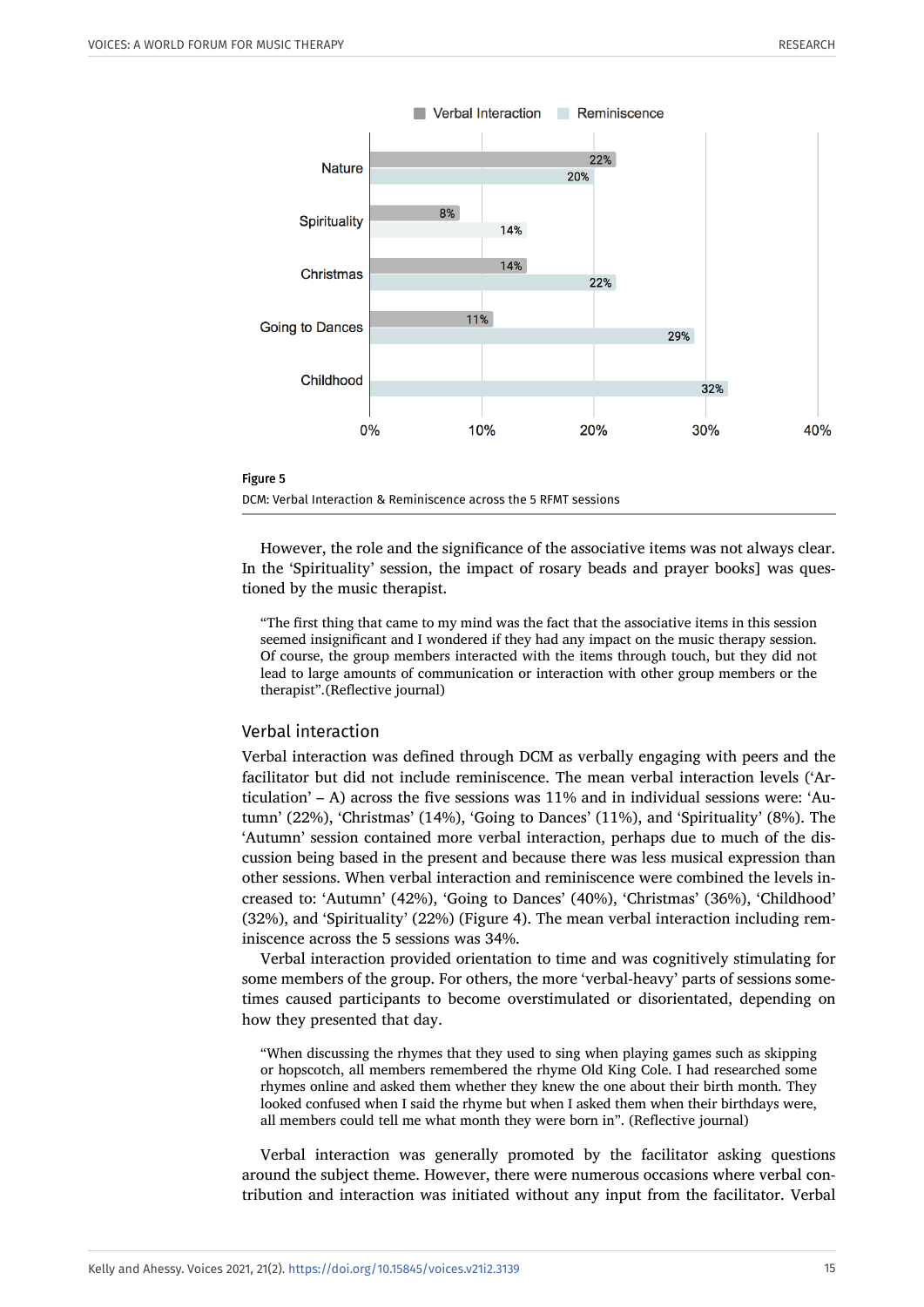



However, the role and the significance of the associative items was not always clear. In the 'Spirituality' session, the impact of rosary beads and prayer books] was questioned by the music therapist.

"The first thing that came to my mind was the fact that the associative items in this session seemed insignificant and I wondered if they had any impact on the music therapy session. Of course, the group members interacted with the items through touch, but they did not lead to large amounts of communication or interaction with other group members or the therapist".(Reflective journal)

#### Verbal interaction

Verbal interaction was defined through DCM as verbally engaging with peers and the facilitator but did not include reminiscence. The mean verbal interaction levels ('Articulation' – A) across the five sessions was  $11\%$  and in individual sessions were: 'Autumn' (22%), 'Christmas' (14%), 'Going to Dances' (11%), and 'Spirituality' (8%). The 'Autumn' session contained more verbal interaction, perhaps due to much of the discussion being based in the present and because there was less musical expression than other sessions. When verbal interaction and reminiscence were combined the levels increased to: 'Autumn' (42%), 'Going to Dances' (40%), 'Christmas' (36%), 'Childhood' (32%), and 'Spirituality' (22%) (Figure 4). The mean verbal interaction including reminiscence across the 5 sessions was 34%.

Verbal interaction provided orientation to time and was cognitively stimulating for some members of the group. For others, the more 'verbal-heavy' parts of sessions sometimes caused participants to become overstimulated or disorientated, depending on how they presented that day.

"When discussing the rhymes that they used to sing when playing games such as skipping or hopscotch, all members remembered the rhyme Old King Cole. I had researched some rhymes online and asked them whether they knew the one about their birth month. They looked confused when I said the rhyme but when I asked them when their birthdays were, all members could tell me what month they were born in". (Reflective journal)

Verbal interaction was generally promoted by the facilitator asking questions around the subject theme. However, there were numerous occasions where verbal contribution and interaction was initiated without any input from the facilitator. Verbal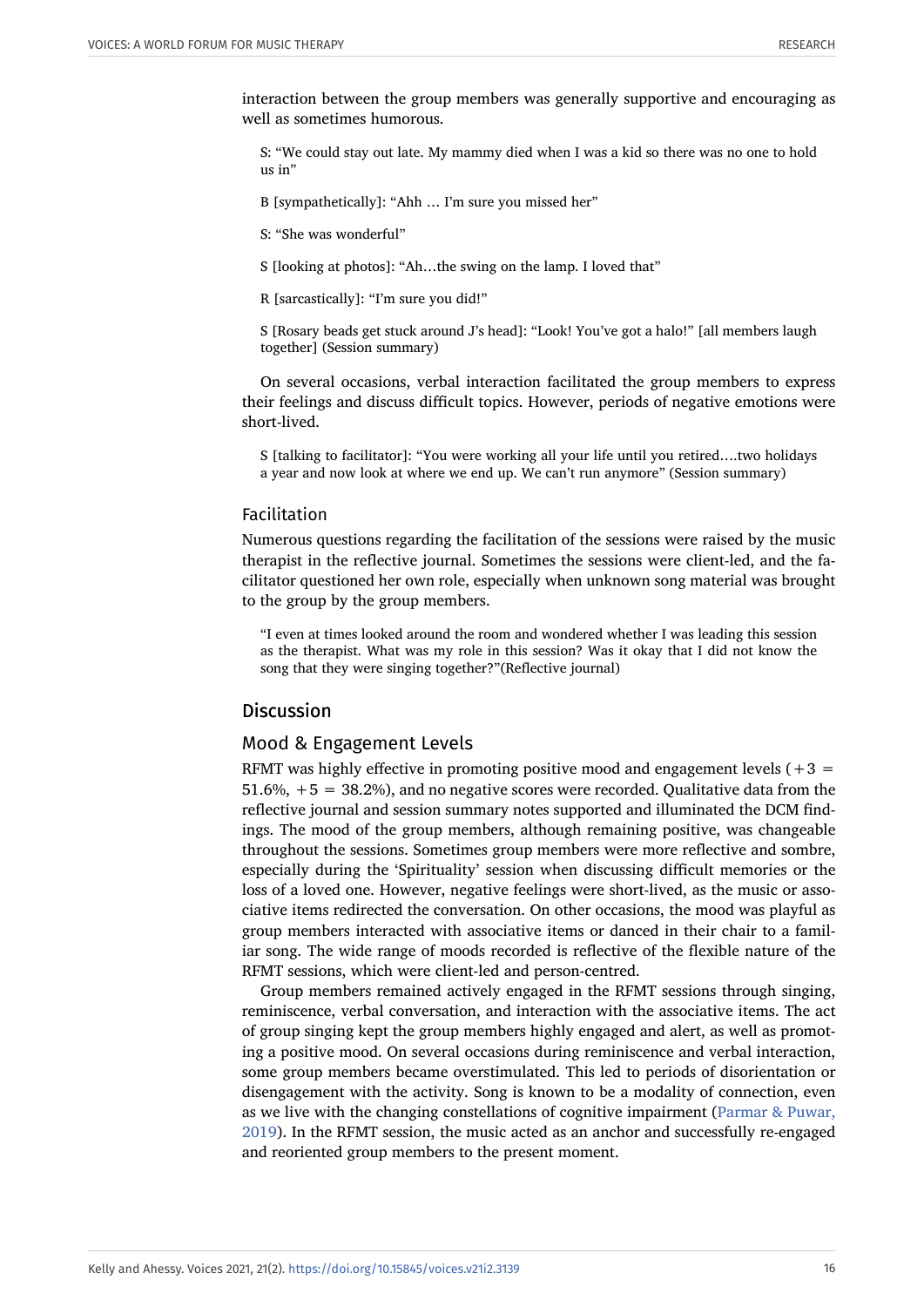interaction between the group members was generally supportive and encouraging as well as sometimes humorous.

S: "We could stay out late. My mammy died when I was a kid so there was no one to hold  $11s$  in"

B [sympathetically]: "Ahh … I'm sure you missed her"

S: "She was wonderful"

S [looking at photos]: "Ah…the swing on the lamp. I loved that"

R [sarcastically]: "I'm sure you did!"

S [Rosary beads get stuck around J's head]: "Look! You've got a halo!" [all members laugh together] (Session summary)

On several occasions, verbal interaction facilitated the group members to express their feelings and discuss difficult topics. However, periods of negative emotions were short-lived.

S [talking to facilitator]: "You were working all your life until you retired….two holidays a year and now look at where we end up. We can't run anymore" (Session summary)

#### Facilitation

Numerous questions regarding the facilitation of the sessions were raised by the music therapist in the reflective journal. Sometimes the sessions were client-led, and the facilitator questioned her own role, especially when unknown song material was brought to the group by the group members.

"I even at times looked around the room and wondered whether I was leading this session as the therapist. What was my role in this session? Was it okay that I did not know the song that they were singing together?"(Reflective journal)

# **Discussion**

#### Mood & Engagement Levels

RFMT was highly effective in promoting positive mood and engagement levels  $(+3)$ 51.6%, +5 = 38.2%), and no negative scores were recorded. Qualitative data from the reflective journal and session summary notes supported and illuminated the DCM findings. The mood of the group members, although remaining positive, was changeable throughout the sessions. Sometimes group members were more reflective and sombre, especially during the 'Spirituality' session when discussing difficult memories or the loss of a loved one. However, negative feelings were short-lived, as the music or associative items redirected the conversation. On other occasions, the mood was playful as group members interacted with associative items or danced in their chair to a familiar song. The wide range of moods recorded is reflective of the flexible nature of the RFMT sessions, which were client-led and person-centred.

Group members remained actively engaged in the RFMT sessions through singing, reminiscence, verbal conversation, and interaction with the associative items. The act of group singing kept the group members highly engaged and alert, as well as promoting a positive mood. On several occasions during reminiscence and verbal interaction, some group members became overstimulated. This led to periods of disorientation or disengagement with the activity. Song is known to be a modality of connection, even as we live with the changing constellations of cognitive impairment [\(Parmar & Puwar,](#page-24-13) [2019](#page-24-13)). In the RFMT session, the music acted as an anchor and successfully re-engaged and reoriented group members to the present moment.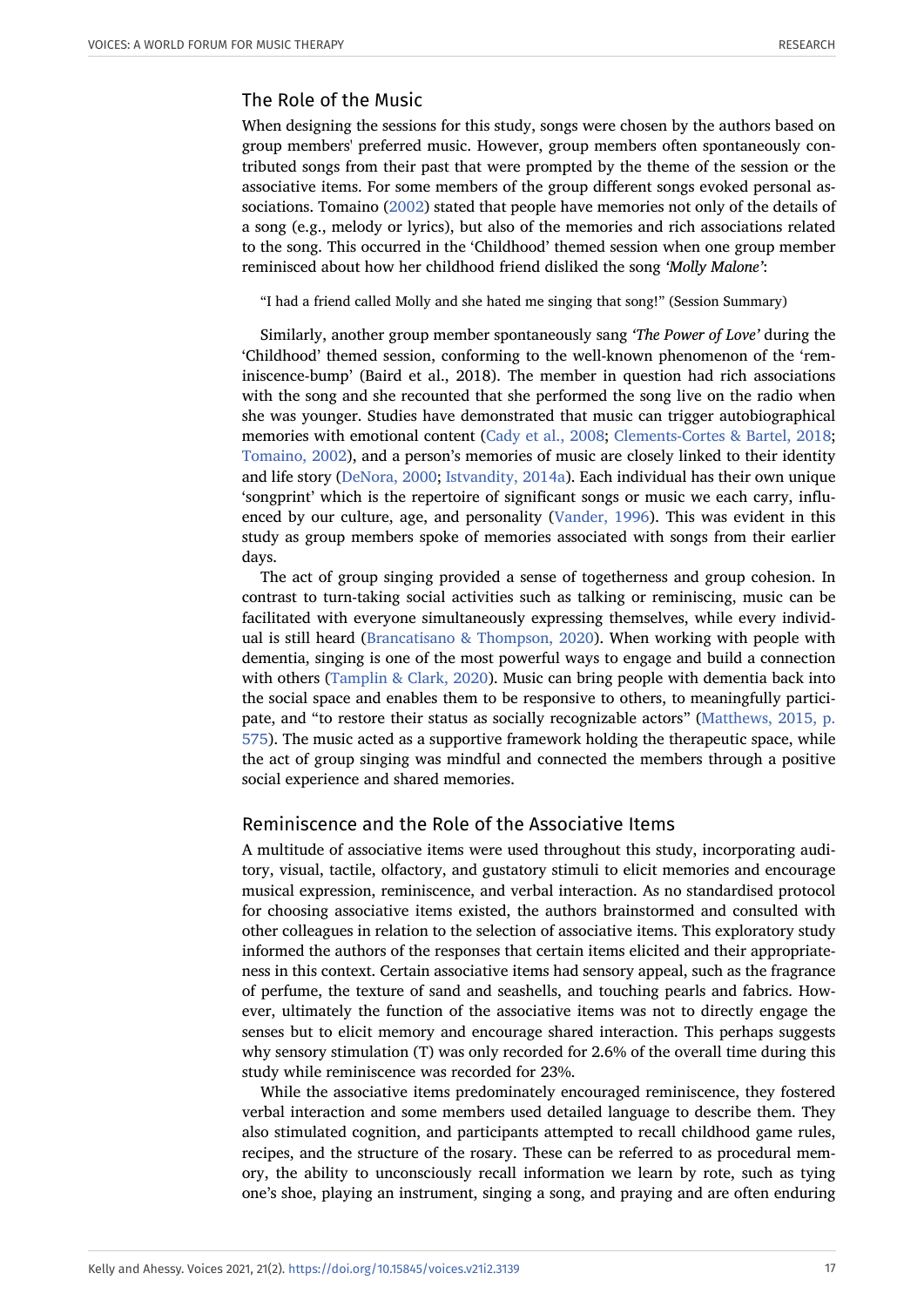# The Role of the Music

When designing the sessions for this study, songs were chosen by the authors based on group members' preferred music. However, group members often spontaneously contributed songs from their past that were prompted by the theme of the session or the associative items. For some members of the group different songs evoked personal associations. Tomaino ([2002](#page-25-2)) stated that people have memories not only of the details of a song (e.g., melody or lyrics), but also of the memories and rich associations related to the song. This occurred in the 'Childhood' themed session when one group member reminisced about how her childhood friend disliked the song *'Molly Malone'*:

"I had a friend called Molly and she hated me singing that song!" (Session Summary)

Similarly, another group member spontaneously sang *'The Power of Love'* during the 'Childhood' themed session, conforming to the well-known phenomenon of the 'reminiscence-bump' (Baird et al., 2018). The member in question had rich associations with the song and she recounted that she performed the song live on the radio when she was younger. Studies have demonstrated that music can trigger autobiographical memories with emotional content [\(Cady et al., 2008;](#page-21-18) [Clements-Cortes & Bartel, 2018;](#page-21-6) [Tomaino, 2002\)](#page-25-2), and a person's memories of music are closely linked to their identity and life story [\(DeNora, 2000;](#page-22-17) [Istvandity, 2014a](#page-22-18)). Each individual has their own unique 'songprint' which is the repertoire of significant songs or music we each carry, influenced by our culture, age, and personality [\(Vander, 1996\)](#page-25-12). This was evident in this study as group members spoke of memories associated with songs from their earlier days.

The act of group singing provided a sense of togetherness and group cohesion. In contrast to turn-taking social activities such as talking or reminiscing, music can be facilitated with everyone simultaneously expressing themselves, while every individual is still heard [\(Brancatisano & Thompson, 2020\)](#page-21-19). When working with people with dementia, singing is one of the most powerful ways to engage and build a connection with others ([Tamplin & Clark, 2020\)](#page-25-6). Music can bring people with dementia back into the social space and enables them to be responsive to others, to meaningfully participate, and "to restore their status as socially recognizable actors" [\(Matthews, 2015, p.](#page-23-6) [575\)](#page-23-6). The music acted as a supportive framework holding the therapeutic space, while the act of group singing was mindful and connected the members through a positive social experience and shared memories.

# Reminiscence and the Role of the Associative Items

A multitude of associative items were used throughout this study, incorporating auditory, visual, tactile, olfactory, and gustatory stimuli to elicit memories and encourage musical expression, reminiscence, and verbal interaction. As no standardised protocol for choosing associative items existed, the authors brainstormed and consulted with other colleagues in relation to the selection of associative items. This exploratory study informed the authors of the responses that certain items elicited and their appropriateness in this context. Certain associative items had sensory appeal, such as the fragrance of perfume, the texture of sand and seashells, and touching pearls and fabrics. However, ultimately the function of the associative items was not to directly engage the senses but to elicit memory and encourage shared interaction. This perhaps suggests why sensory stimulation (T) was only recorded for 2.6% of the overall time during this study while reminiscence was recorded for 23%.

While the associative items predominately encouraged reminiscence, they fostered verbal interaction and some members used detailed language to describe them. They also stimulated cognition, and participants attempted to recall childhood game rules, recipes, and the structure of the rosary. These can be referred to as procedural memory, the ability to unconsciously recall information we learn by rote, such as tying one's shoe, playing an instrument, singing a song, and praying and are often enduring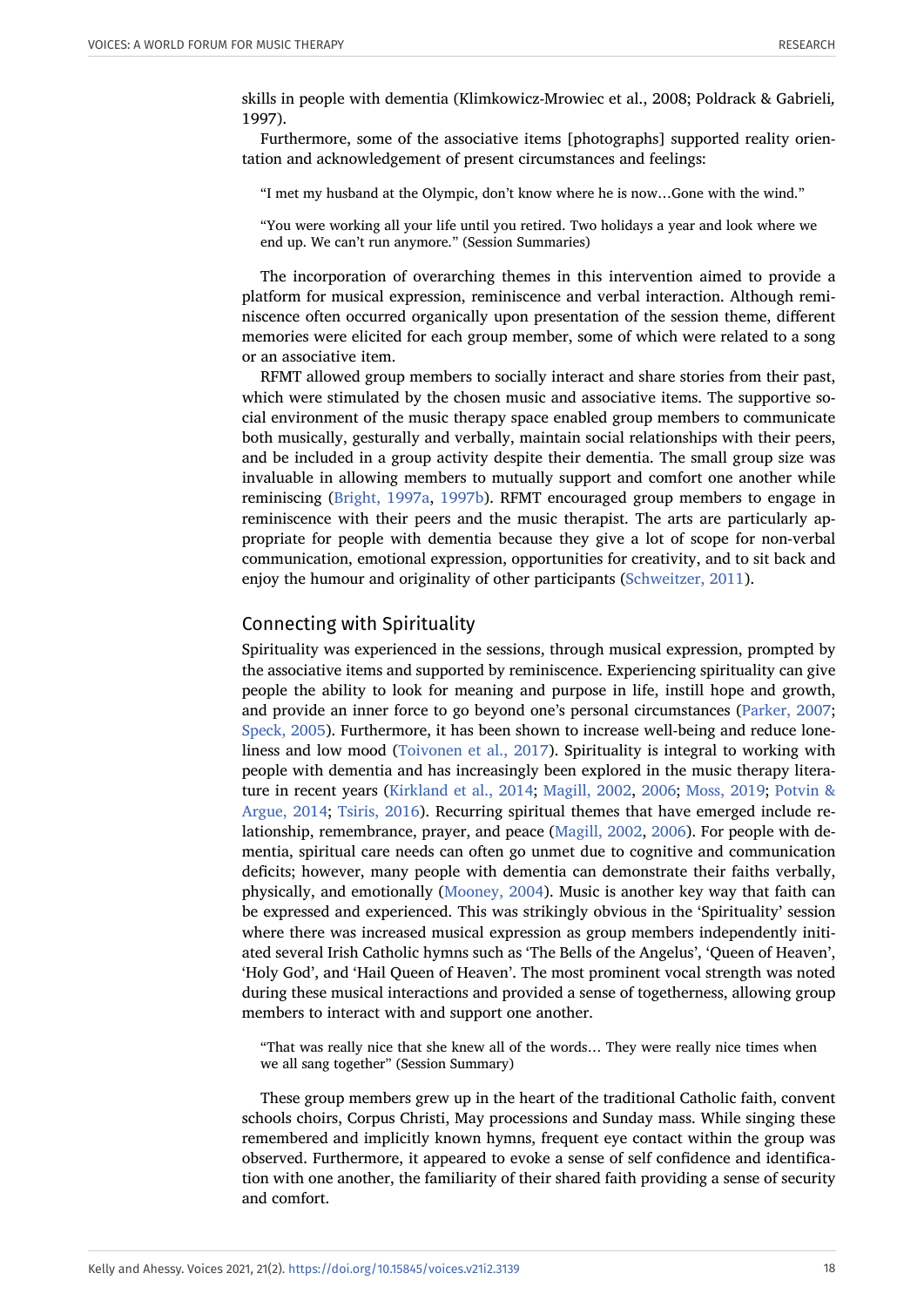skills in people with dementia (Klimkowicz-Mrowiec et al., 2008; Poldrack & Gabrieli*,* 1997).

Furthermore, some of the associative items [photographs] supported reality orientation and acknowledgement of present circumstances and feelings:

"I met my husband at the Olympic, don't know where he is now…Gone with the wind."

"You were working all your life until you retired. Two holidays a year and look where we end up. We can't run anymore." (Session Summaries)

The incorporation of overarching themes in this intervention aimed to provide a platform for musical expression, reminiscence and verbal interaction. Although reminiscence often occurred organically upon presentation of the session theme, different memories were elicited for each group member, some of which were related to a song or an associative item.

RFMT allowed group members to socially interact and share stories from their past, which were stimulated by the chosen music and associative items. The supportive social environment of the music therapy space enabled group members to communicate both musically, gesturally and verbally, maintain social relationships with their peers, and be included in a group activity despite their dementia. The small group size was invaluable in allowing members to mutually support and comfort one another while reminiscing [\(Bright, 1997a,](#page-21-3) [1997b\)](#page-21-4). RFMT encouraged group members to engage in reminiscence with their peers and the music therapist. The arts are particularly appropriate for people with dementia because they give a lot of scope for non-verbal communication, emotional expression, opportunities for creativity, and to sit back and enjoy the humour and originality of other participants [\(Schweitzer, 2011\)](#page-25-9).

#### Connecting with Spirituality

Spirituality was experienced in the sessions, through musical expression, prompted by the associative items and supported by reminiscence. Experiencing spirituality can give people the ability to look for meaning and purpose in life, instill hope and growth, and provide an inner force to go beyond one's personal circumstances [\(Parker, 2007;](#page-24-14) [Speck, 2005\)](#page-25-13). Furthermore, it has been shown to increase well-being and reduce loneliness and low mood ([Toivonen et al., 2017\)](#page-25-14). Spirituality is integral to working with people with dementia and has increasingly been explored in the music therapy literature in recent years ([Kirkland et al., 2014;](#page-23-15) [Magill, 2002](#page-23-16), [2006;](#page-23-17) [Moss, 2019](#page-24-15); [Potvin &](#page-24-16) [Argue, 2014](#page-24-16); [Tsiris, 2016\)](#page-25-15). Recurring spiritual themes that have emerged include relationship, remembrance, prayer, and peace ([Magill, 2002,](#page-23-16) [2006](#page-23-17)). For people with dementia, spiritual care needs can often go unmet due to cognitive and communication deficits; however, many people with dementia can demonstrate their faiths verbally, physically, and emotionally [\(Mooney, 2004](#page-24-17)). Music is another key way that faith can be expressed and experienced. This was strikingly obvious in the 'Spirituality' session where there was increased musical expression as group members independently initiated several Irish Catholic hymns such as 'The Bells of the Angelus', 'Queen of Heaven', 'Holy God', and 'Hail Queen of Heaven'. The most prominent vocal strength was noted during these musical interactions and provided a sense of togetherness, allowing group members to interact with and support one another.

"That was really nice that she knew all of the words… They were really nice times when we all sang together" (Session Summary)

These group members grew up in the heart of the traditional Catholic faith, convent schools choirs, Corpus Christi, May processions and Sunday mass. While singing these remembered and implicitly known hymns, frequent eye contact within the group was observed. Furthermore, it appeared to evoke a sense of self confidence and identification with one another, the familiarity of their shared faith providing a sense of security and comfort.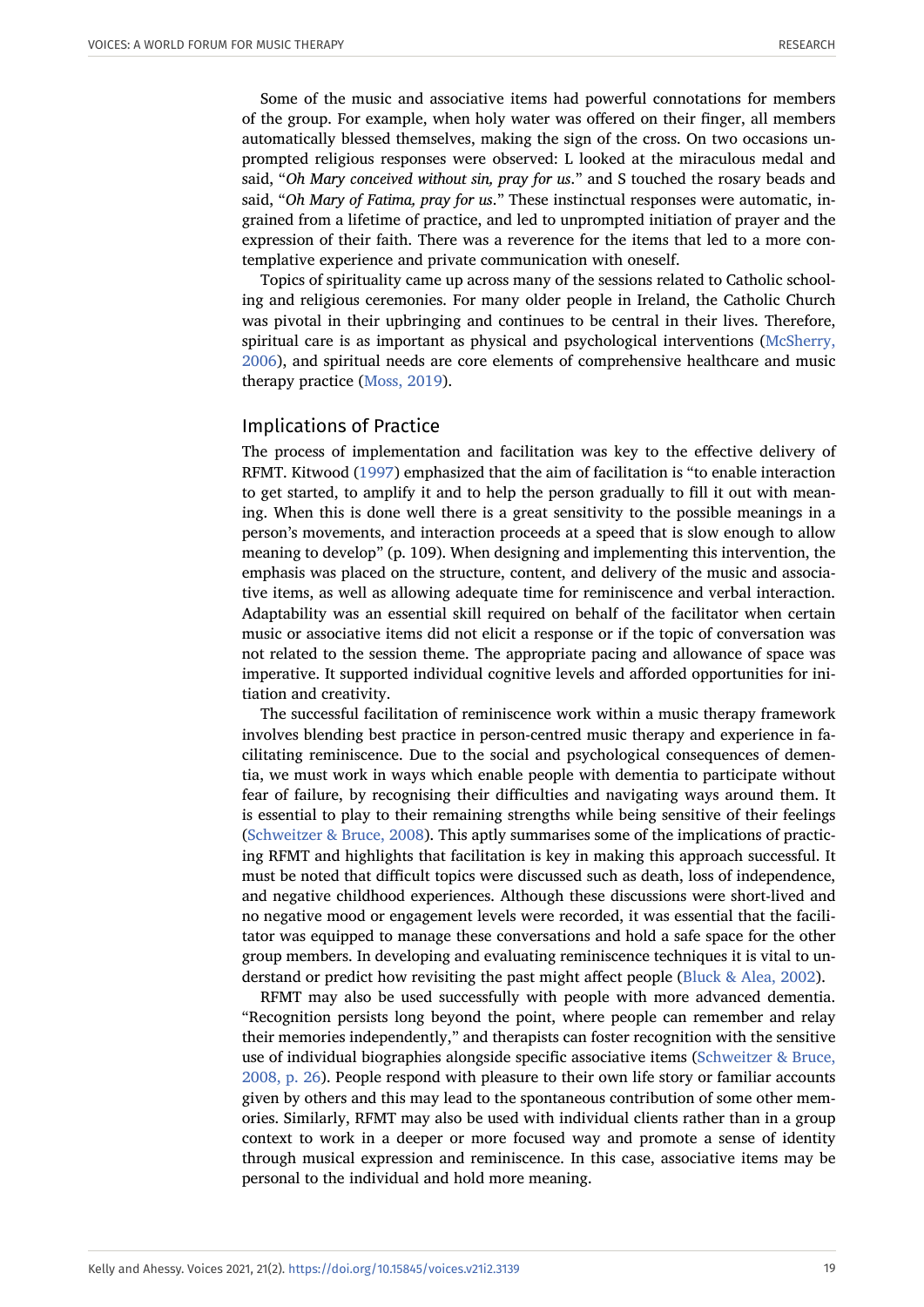Some of the music and associative items had powerful connotations for members of the group. For example, when holy water was offered on their finger, all members automatically blessed themselves, making the sign of the cross. On two occasions unprompted religious responses were observed: L looked at the miraculous medal and said, "*Oh Mary conceived without sin, pray for us*." and S touched the rosary beads and said, "*Oh Mary of Fatima, pray for us*." These instinctual responses were automatic, ingrained from a lifetime of practice, and led to unprompted initiation of prayer and the expression of their faith. There was a reverence for the items that led to a more contemplative experience and private communication with oneself.

Topics of spirituality came up across many of the sessions related to Catholic schooling and religious ceremonies. For many older people in Ireland, the Catholic Church was pivotal in their upbringing and continues to be central in their lives. Therefore, spiritual care is as important as physical and psychological interventions [\(McSherry,](#page-24-18) [2006](#page-24-18)), and spiritual needs are core elements of comprehensive healthcare and music therapy practice ([Moss, 2019](#page-24-15)).

#### Implications of Practice

The process of implementation and facilitation was key to the effective delivery of RFMT. Kitwood [\(1997](#page-23-3)) emphasized that the aim of facilitation is "to enable interaction to get started, to amplify it and to help the person gradually to fill it out with meaning. When this is done well there is a great sensitivity to the possible meanings in a person's movements, and interaction proceeds at a speed that is slow enough to allow meaning to develop" (p. 109). When designing and implementing this intervention, the emphasis was placed on the structure, content, and delivery of the music and associative items, as well as allowing adequate time for reminiscence and verbal interaction. Adaptability was an essential skill required on behalf of the facilitator when certain music or associative items did not elicit a response or if the topic of conversation was not related to the session theme. The appropriate pacing and allowance of space was imperative. It supported individual cognitive levels and afforded opportunities for initiation and creativity.

The successful facilitation of reminiscence work within a music therapy framework involves blending best practice in person-centred music therapy and experience in facilitating reminiscence. Due to the social and psychological consequences of dementia, we must work in ways which enable people with dementia to participate without fear of failure, by recognising their difficulties and navigating ways around them. It is essential to play to their remaining strengths while being sensitive of their feelings ([Schweitzer & Bruce, 2008](#page-25-10)). This aptly summarises some of the implications of practicing RFMT and highlights that facilitation is key in making this approach successful. It must be noted that difficult topics were discussed such as death, loss of independence, and negative childhood experiences. Although these discussions were short-lived and no negative mood or engagement levels were recorded, it was essential that the facilitator was equipped to manage these conversations and hold a safe space for the other group members. In developing and evaluating reminiscence techniques it is vital to understand or predict how revisiting the past might affect people [\(Bluck & Alea, 2002\)](#page-20-13).

RFMT may also be used successfully with people with more advanced dementia. "Recognition persists long beyond the point, where people can remember and relay their memories independently," and therapists can foster recognition with the sensitive use of individual biographies alongside specific associative items ([Schweitzer & Bruce,](#page-25-10) [2008, p. 26\)](#page-25-10). People respond with pleasure to their own life story or familiar accounts given by others and this may lead to the spontaneous contribution of some other memories. Similarly, RFMT may also be used with individual clients rather than in a group context to work in a deeper or more focused way and promote a sense of identity through musical expression and reminiscence. In this case, associative items may be personal to the individual and hold more meaning.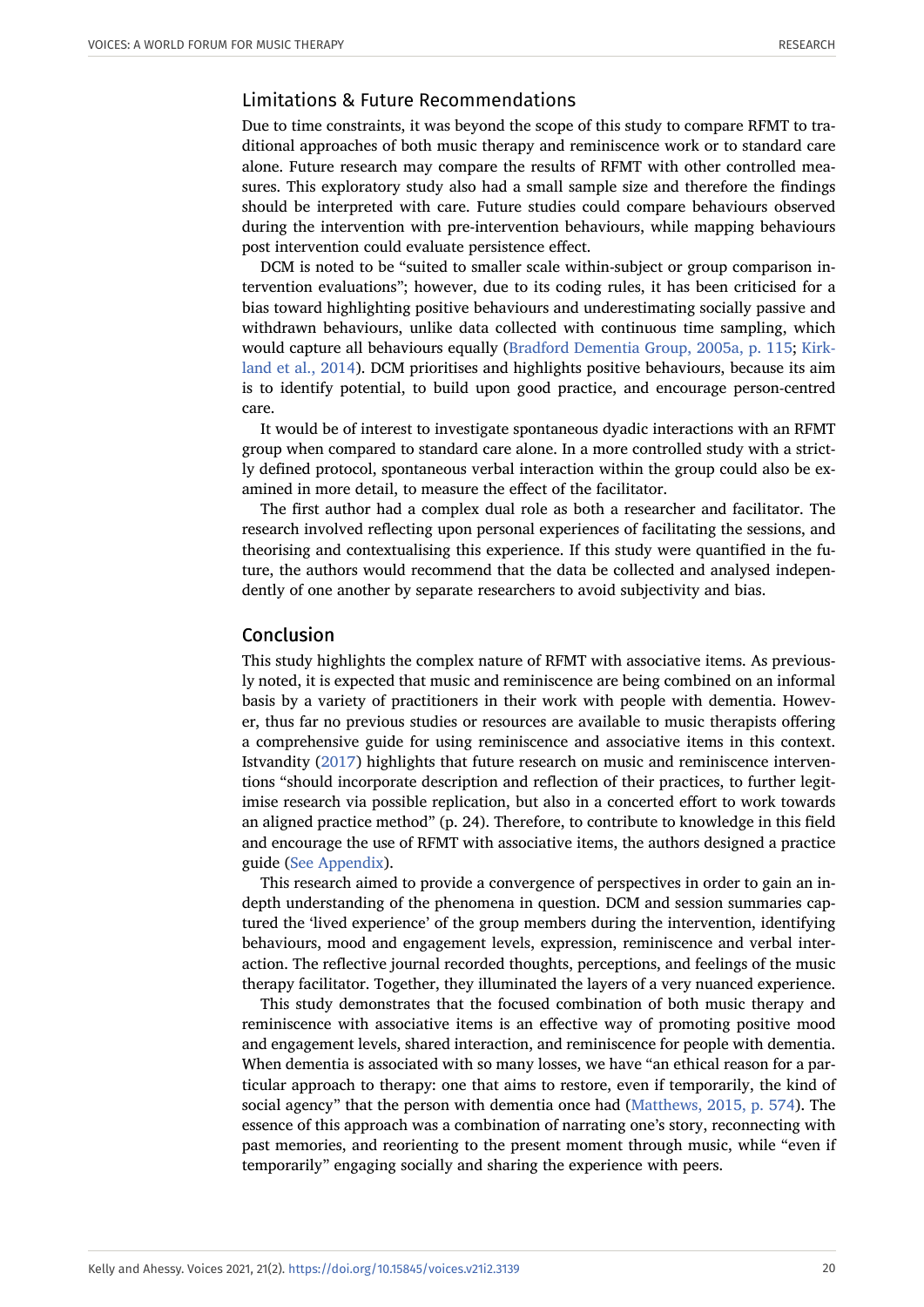#### Limitations & Future Recommendations

Due to time constraints, it was beyond the scope of this study to compare RFMT to traditional approaches of both music therapy and reminiscence work or to standard care alone. Future research may compare the results of RFMT with other controlled measures. This exploratory study also had a small sample size and therefore the findings should be interpreted with care. Future studies could compare behaviours observed during the intervention with pre-intervention behaviours, while mapping behaviours post intervention could evaluate persistence effect.

DCM is noted to be "suited to smaller scale within-subject or group comparison intervention evaluations"; however, due to its coding rules, it has been criticised for a bias toward highlighting positive behaviours and underestimating socially passive and withdrawn behaviours, unlike data collected with continuous time sampling, which would capture all behaviours equally ([Bradford Dementia Group, 2005a, p. 115;](#page-20-11) [Kirk](#page-23-15)[land et al., 2014](#page-23-15)). DCM prioritises and highlights positive behaviours, because its aim is to identify potential, to build upon good practice, and encourage person-centred care.

It would be of interest to investigate spontaneous dyadic interactions with an RFMT group when compared to standard care alone. In a more controlled study with a strictly defined protocol, spontaneous verbal interaction within the group could also be examined in more detail, to measure the effect of the facilitator.

The first author had a complex dual role as both a researcher and facilitator. The research involved reflecting upon personal experiences of facilitating the sessions, and theorising and contextualising this experience. If this study were quantified in the future, the authors would recommend that the data be collected and analysed independently of one another by separate researchers to avoid subjectivity and bias.

#### Conclusion

This study highlights the complex nature of RFMT with associative items. As previously noted, it is expected that music and reminiscence are being combined on an informal basis by a variety of practitioners in their work with people with dementia. However, thus far no previous studies or resources are available to music therapists offering a comprehensive guide for using reminiscence and associative items in this context. Istvandity ([2017](#page-22-5)) highlights that future research on music and reminiscence interventions "should incorporate description and reflection of their practices, to further legitimise research via possible replication, but also in a concerted effort to work towards an aligned practice method" (p. 24). Therefore, to contribute to knowledge in this field and encourage the use of RFMT with associative items, the authors designed a practice guide [\(See Appendix](https://voices.no/index.php/voices/article/view/3139/3234)).

This research aimed to provide a convergence of perspectives in order to gain an indepth understanding of the phenomena in question. DCM and session summaries captured the 'lived experience' of the group members during the intervention, identifying behaviours, mood and engagement levels, expression, reminiscence and verbal interaction. The reflective journal recorded thoughts, perceptions, and feelings of the music therapy facilitator. Together, they illuminated the layers of a very nuanced experience.

This study demonstrates that the focused combination of both music therapy and reminiscence with associative items is an effective way of promoting positive mood and engagement levels, shared interaction, and reminiscence for people with dementia. When dementia is associated with so many losses, we have "an ethical reason for a particular approach to therapy: one that aims to restore, even if temporarily, the kind of social agency" that the person with dementia once had ([Matthews, 2015, p. 574](#page-23-6)). The essence of this approach was a combination of narrating one's story, reconnecting with past memories, and reorienting to the present moment through music, while "even if temporarily" engaging socially and sharing the experience with peers.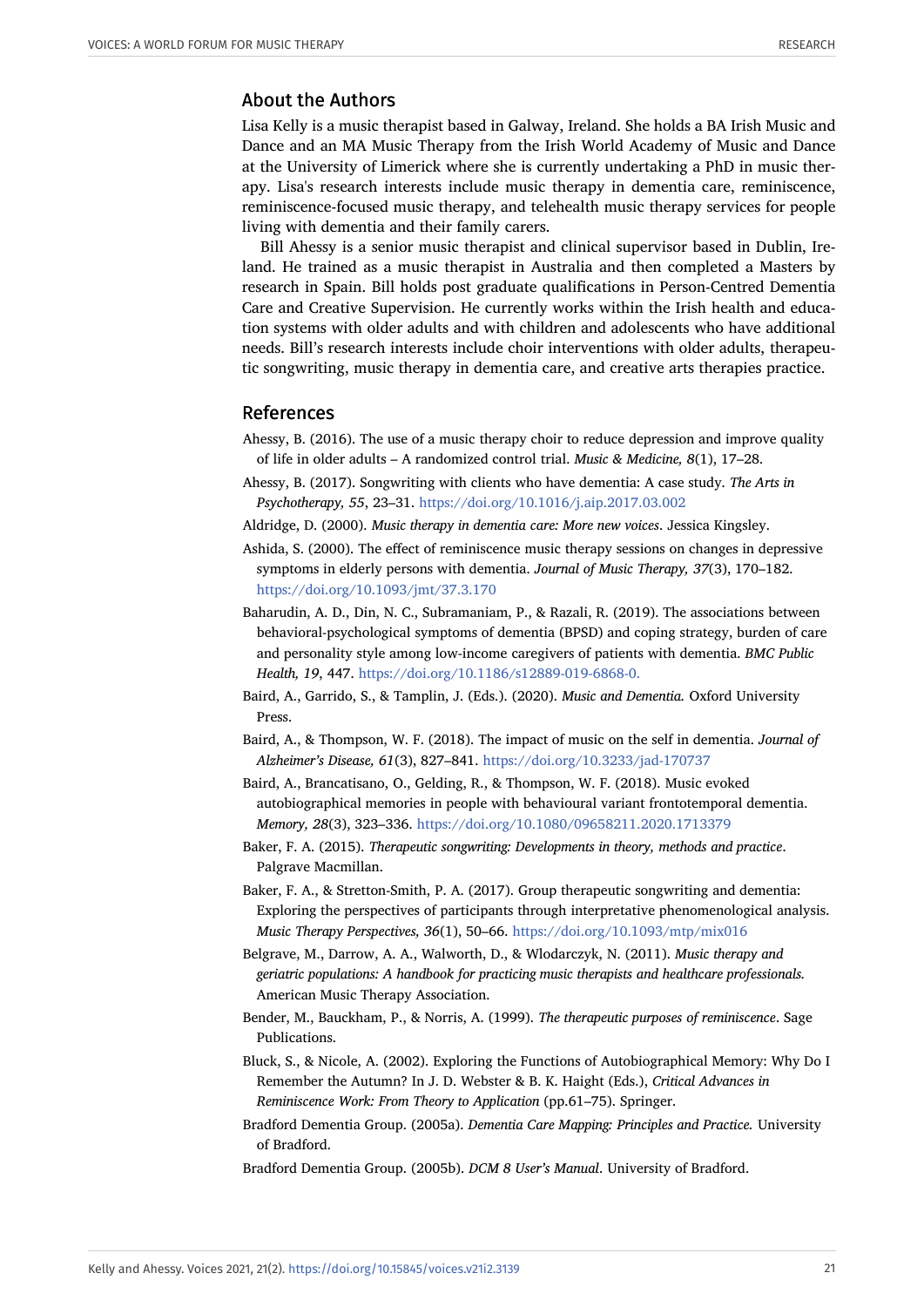## About the Authors

Lisa Kelly is a music therapist based in Galway, Ireland. She holds a BA Irish Music and Dance and an MA Music Therapy from the Irish World Academy of Music and Dance at the University of Limerick where she is currently undertaking a PhD in music therapy. Lisa's research interests include music therapy in dementia care, reminiscence, reminiscence-focused music therapy, and telehealth music therapy services for people living with dementia and their family carers.

Bill Ahessy is a senior music therapist and clinical supervisor based in Dublin, Ireland. He trained as a music therapist in Australia and then completed a Masters by research in Spain. Bill holds post graduate qualifications in Person-Centred Dementia Care and Creative Supervision. He currently works within the Irish health and education systems with older adults and with children and adolescents who have additional needs. Bill's research interests include choir interventions with older adults, therapeutic songwriting, music therapy in dementia care, and creative arts therapies practice.

#### References

- <span id="page-20-8"></span>Ahessy, B. (2016). The use of a music therapy choir to reduce depression and improve quality of life in older adults – A randomized control trial. *Music & Medicine, 8*(1), 17–28.
- <span id="page-20-5"></span>Ahessy, B. (2017). Songwriting with clients who have dementia: A case study. *The Arts in Psychotherapy, 55*, 23–31. <https://doi.org/10.1016/j.aip.2017.03.002>
- <span id="page-20-2"></span>Aldridge, D. (2000). *Music therapy in dementia care: More new voices*. Jessica Kingsley.
- <span id="page-20-9"></span>Ashida, S. (2000). The effect of reminiscence music therapy sessions on changes in depressive symptoms in elderly persons with dementia. *Journal of Music Therapy, 37*(3), 170–182. <https://doi.org/10.1093/jmt/37.3.170>
- <span id="page-20-0"></span>Baharudin, A. D., Din, N. C., Subramaniam, P., & Razali, R. (2019). The associations between behavioral-psychological symptoms of dementia (BPSD) and coping strategy, burden of care and personality style among low-income caregivers of patients with dementia. *BMC Public Health, 19*, 447. <https://doi.org/10.1186/s12889-019-6868-0.>
- <span id="page-20-3"></span>Baird, A., Garrido, S., & Tamplin, J. (Eds.). (2020). *Music and Dementia.* Oxford University Press.
- <span id="page-20-1"></span>Baird, A., & Thompson, W. F. (2018). The impact of music on the self in dementia. *Journal of Alzheimer's Disease, 61*(3), 827–841. <https://doi.org/10.3233/jad-170737>
- Baird, A., Brancatisano, O., Gelding, R., & Thompson, W. F. (2018). Music evoked autobiographical memories in people with behavioural variant frontotemporal dementia. *Memory, 28*(3), 323–336. <https://doi.org/10.1080/09658211.2020.1713379>
- <span id="page-20-6"></span>Baker, F. A. (2015). *Therapeutic songwriting: Developments in theory, methods and practice*. Palgrave Macmillan.
- <span id="page-20-7"></span>Baker, F. A., & Stretton-Smith, P. A. (2017). Group therapeutic songwriting and dementia: Exploring the perspectives of participants through interpretative phenomenological analysis. *Music Therapy Perspectives, 36*(1), 50–66. <https://doi.org/10.1093/mtp/mix016>
- <span id="page-20-4"></span>Belgrave, M., Darrow, A. A., Walworth, D., & Wlodarczyk, N. (2011). *Music therapy and geriatric populations: A handbook for practicing music therapists and healthcare professionals.* American Music Therapy Association.
- <span id="page-20-10"></span>Bender, M., Bauckham, P., & Norris, A. (1999). *The therapeutic purposes of reminiscence*. Sage Publications.
- <span id="page-20-13"></span>Bluck, S., & Nicole, A. (2002). Exploring the Functions of Autobiographical Memory: Why Do I Remember the Autumn? In J. D. Webster & B. K. Haight (Eds.), *Critical Advances in Reminiscence Work: From Theory to Application* (pp.61–75). Springer.
- <span id="page-20-11"></span>Bradford Dementia Group. (2005a). *Dementia Care Mapping: Principles and Practice.* University of Bradford.

<span id="page-20-12"></span>Bradford Dementia Group. (2005b). *DCM 8 User's Manual*. University of Bradford.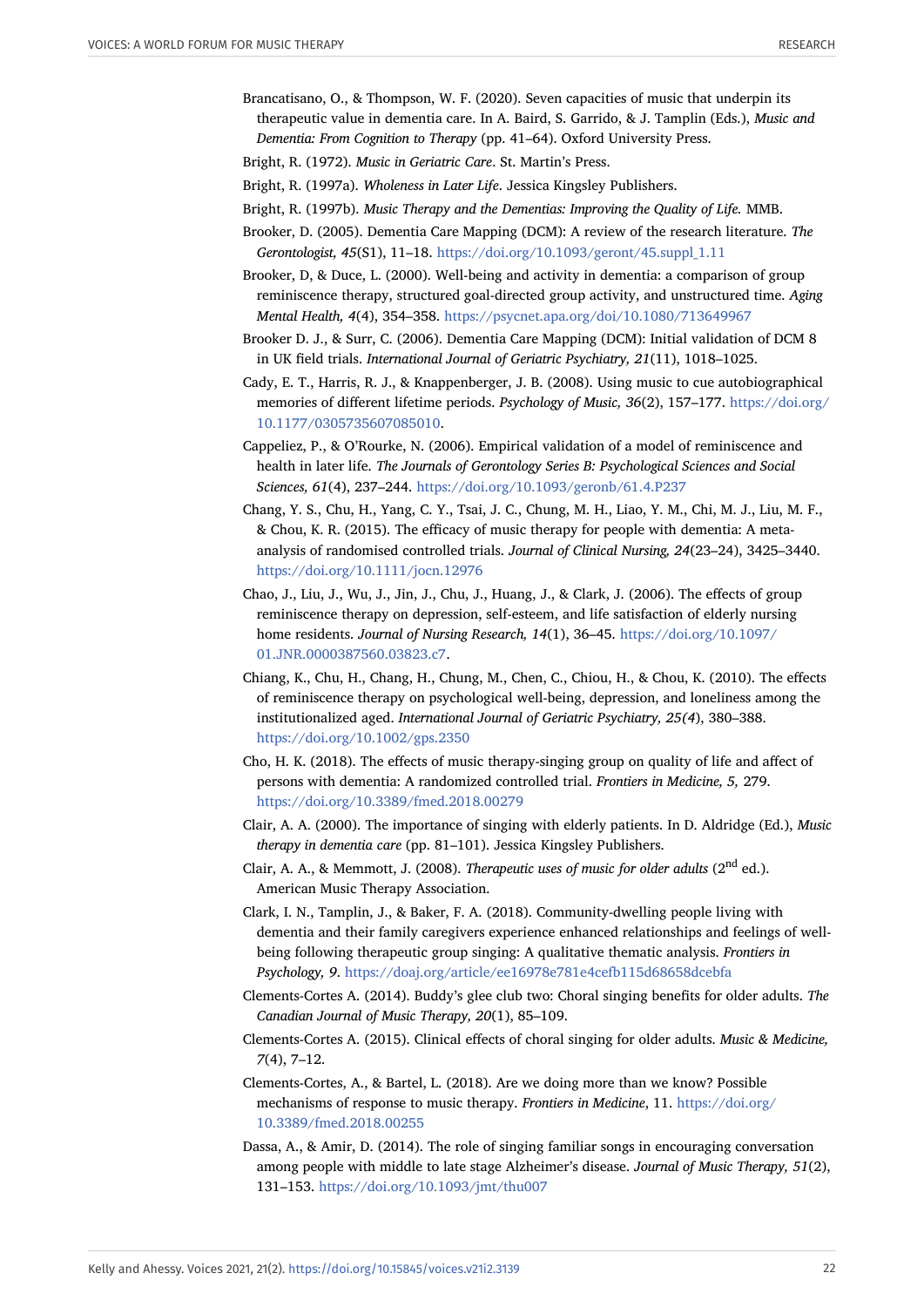- <span id="page-21-19"></span>Brancatisano, O., & Thompson, W. F. (2020). Seven capacities of music that underpin its therapeutic value in dementia care. In A. Baird, S. Garrido, & J. Tamplin (Eds.), *Music and Dementia: From Cognition to Therapy* (pp. 41–64). Oxford University Press.
- <span id="page-21-3"></span><span id="page-21-2"></span>Bright, R. (1972). *Music in Geriatric Care*. St. Martin's Press.
- Bright, R. (1997a). *Wholeness in Later Life*. Jessica Kingsley Publishers.
- <span id="page-21-4"></span>Bright, R. (1997b). *Music Therapy and the Dementias: Improving the Quality of Life.* MMB.
- <span id="page-21-16"></span>Brooker, D. (2005). Dementia Care Mapping (DCM): A review of the research literature. *The Gerontologist, 45*(S1), 11–18. [https://doi.org/10.1093/geront/45.suppl\\_1.11](https://doi.org/10.1093/geront/45.suppl_1.11)
- <span id="page-21-17"></span>Brooker, D, & Duce, L. (2000). Well-being and activity in dementia: a comparison of group reminiscence therapy, structured goal-directed group activity, and unstructured time. *Aging Mental Health, 4*(4), 354–358. <https://psycnet.apa.org/doi/10.1080/713649967>
- <span id="page-21-15"></span>Brooker D. J., & Surr, C. (2006). Dementia Care Mapping (DCM): Initial validation of DCM 8 in UK field trials. *International Journal of Geriatric Psychiatry, 21*(11), 1018–1025.
- <span id="page-21-18"></span>Cady, E. T., Harris, R. J., & Knappenberger, J. B. (2008). Using music to cue autobiographical memories of different lifetime periods. *Psychology of Music, 36*(2), 157–177. [https://doi.org/](https://doi.org/10.1177/0305735607085010) [10.1177/0305735607085010.](https://doi.org/10.1177/0305735607085010)
- <span id="page-21-0"></span>Cappeliez, P., & O'Rourke, N. (2006). Empirical validation of a model of reminiscence and health in later life. *The Journals of Gerontology Series B: Psychological Sciences and Social Sciences, 61*(4), 237–244. <https://doi.org/10.1093/geronb/61.4.P237>
- <span id="page-21-1"></span>Chang, Y. S., Chu, H., Yang, C. Y., Tsai, J. C., Chung, M. H., Liao, Y. M., Chi, M. J., Liu, M. F., & Chou, K. R. (2015). The efficacy of music therapy for people with dementia: A metaanalysis of randomised controlled trials. *Journal of Clinical Nursing, 24*(23–24), 3425–3440. <https://doi.org/10.1111/jocn.12976>
- <span id="page-21-14"></span>Chao, J., Liu, J., Wu, J., Jin, J., Chu, J., Huang, J., & Clark, J. (2006). The effects of group reminiscence therapy on depression, self-esteem, and life satisfaction of elderly nursing home residents. *Journal of Nursing Research, 14*(1), 36–45. [https://doi.org/10.1097/](https://doi.org/10.1097/01.JNR.0000387560.03823.c7) [01.JNR.0000387560.03823.c7.](https://doi.org/10.1097/01.JNR.0000387560.03823.c7)
- <span id="page-21-13"></span>Chiang, K., Chu, H., Chang, H., Chung, M., Chen, C., Chiou, H., & Chou, K. (2010). The effects of reminiscence therapy on psychological well-being, depression, and loneliness among the institutionalized aged. *International Journal of Geriatric Psychiatry, 25(4*), 380–388. <https://doi.org/10.1002/gps.2350>
- <span id="page-21-8"></span>Cho, H. K. (2018). The effects of music therapy-singing group on quality of life and affect of persons with dementia: A randomized controlled trial. *Frontiers in Medicine, 5,* 279. <https://doi.org/10.3389/fmed.2018.00279>
- <span id="page-21-5"></span>Clair, A. A. (2000). The importance of singing with elderly patients. In D. Aldridge (Ed.), *Music therapy in dementia care* (pp. 81–101). Jessica Kingsley Publishers.
- <span id="page-21-7"></span>Clair, A. A., & Memmott, J. (2008). *Therapeutic uses of music for older adults* (2<sup>nd</sup> ed.). American Music Therapy Association.
- <span id="page-21-11"></span>Clark, I. N., Tamplin, J., & Baker, F. A. (2018). Community-dwelling people living with dementia and their family caregivers experience enhanced relationships and feelings of wellbeing following therapeutic group singing: A qualitative thematic analysis. *Frontiers in Psychology, 9*. <https://doaj.org/article/ee16978e781e4cefb115d68658dcebfa>
- <span id="page-21-9"></span>Clements-Cortes A. (2014). Buddy's glee club two: Choral singing benefits for older adults. *The Canadian Journal of Music Therapy, 20*(1), 85–109.
- <span id="page-21-10"></span>Clements-Cortes A. (2015). Clinical effects of choral singing for older adults. *Music & Medicine, 7*(4), 7–12.
- <span id="page-21-6"></span>Clements-Cortes, A., & Bartel, L. (2018). Are we doing more than we know? Possible mechanisms of response to music therapy. *Frontiers in Medicine*, 11. [https://doi.org/](https://doi.org/10.3389/fmed.2018.00255) [10.3389/fmed.2018.00255](https://doi.org/10.3389/fmed.2018.00255)
- <span id="page-21-12"></span>Dassa, A., & Amir, D. (2014). The role of singing familiar songs in encouraging conversation among people with middle to late stage Alzheimer's disease. *Journal of Music Therapy, 51*(2), 131–153. <https://doi.org/10.1093/jmt/thu007>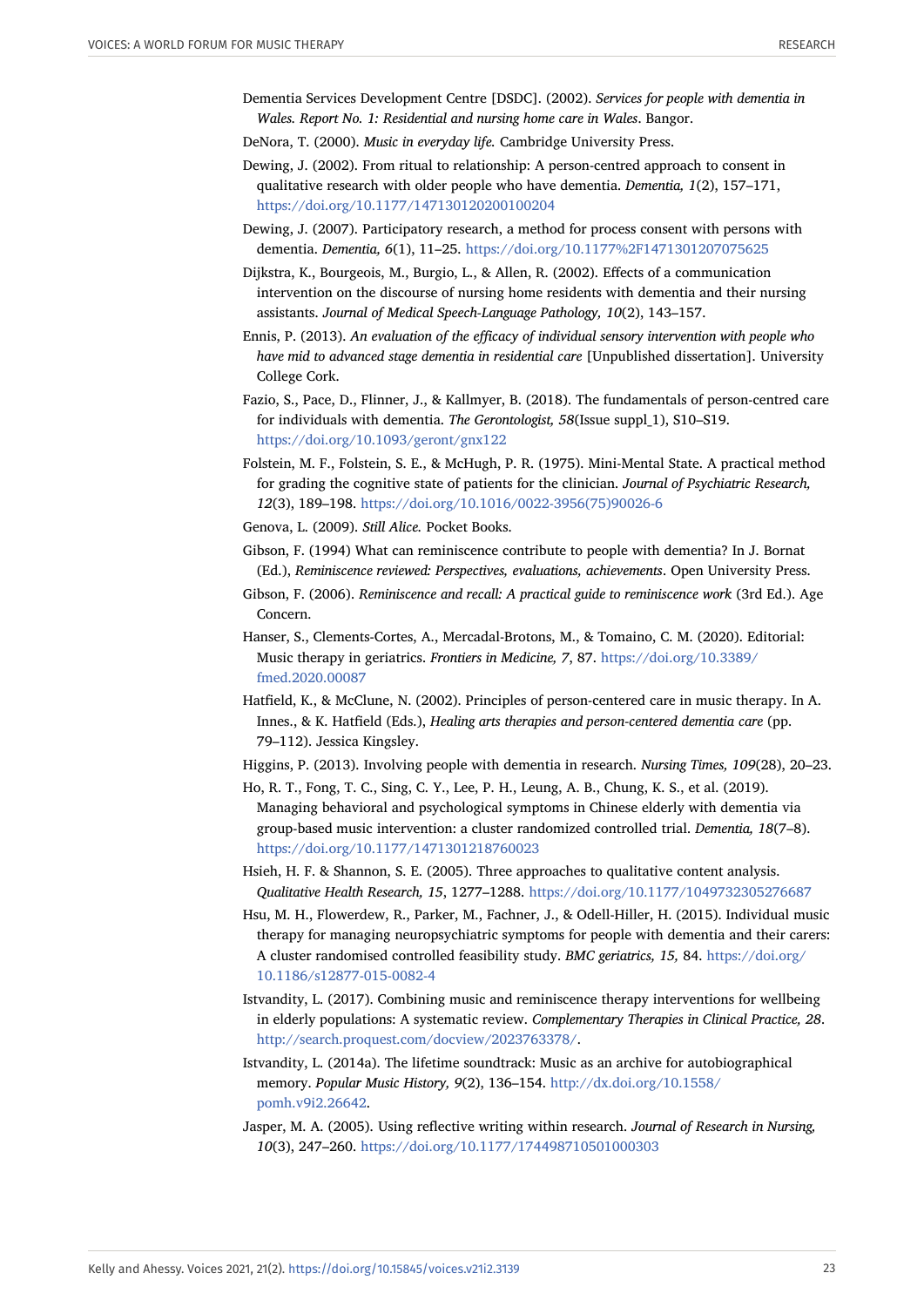- <span id="page-22-6"></span>Dementia Services Development Centre [DSDC]. (2002). *Services for people with dementia in Wales. Report No. 1: Residential and nursing home care in Wales*. Bangor.
- <span id="page-22-17"></span>DeNora, T. (2000). *Music in everyday life.* Cambridge University Press.
- <span id="page-22-13"></span>Dewing, J. (2002). From ritual to relationship: A person-centred approach to consent in qualitative research with older people who have dementia. *Dementia, 1*(2), 157–171, <https://doi.org/10.1177/147130120200100204>
- <span id="page-22-12"></span>Dewing, J. (2007). Participatory research, a method for process consent with persons with dementia. *Dementia, 6*(1), 11–25. <https://doi.org/10.1177%2F1471301207075625>
- Dijkstra, K., Bourgeois, M., Burgio, L., & Allen, R. (2002). Effects of a communication intervention on the discourse of nursing home residents with dementia and their nursing assistants. *Journal of Medical Speech-Language Pathology, 10*(2), 143–157.
- <span id="page-22-10"></span>Ennis, P. (2013). *An evaluation of the efficacy of individual sensory intervention with people who have mid to advanced stage dementia in residential care* [Unpublished dissertation]. University College Cork.
- <span id="page-22-9"></span>Fazio, S., Pace, D., Flinner, J., & Kallmyer, B. (2018). The fundamentals of person-centred care for individuals with dementia. *The Gerontologist, 58*(Issue suppl\_1), S10–S19. <https://doi.org/10.1093/geront/gnx122>
- <span id="page-22-15"></span>Folstein, M. F., Folstein, S. E., & McHugh, P. R. (1975). Mini-Mental State. A practical method for grading the cognitive state of patients for the clinician. *Journal of Psychiatric Research, 12*(3), 189–198. [https://doi.org/10.1016/0022-3956\(75\)90026-6](https://doi.org/10.1016/0022-3956(75)90026-6)
- <span id="page-22-0"></span>Genova, L. (2009). *Still Alice.* Pocket Books.
- <span id="page-22-8"></span>Gibson, F. (1994) What can reminiscence contribute to people with dementia? In J. Bornat (Ed.), *Reminiscence reviewed: Perspectives, evaluations, achievements*. Open University Press.
- <span id="page-22-7"></span>Gibson, F. (2006). *Reminiscence and recall: A practical guide to reminiscence work* (3rd Ed.). Age Concern.
- <span id="page-22-3"></span>Hanser, S., Clements-Cortes, A., Mercadal-Brotons, M., & Tomaino, C. M. (2020). Editorial: Music therapy in geriatrics. *Frontiers in Medicine, 7*, 87. [https://doi.org/10.3389/](https://doi.org/10.3389/fmed.2020.00087) [fmed.2020.00087](https://doi.org/10.3389/fmed.2020.00087)
- <span id="page-22-2"></span>Hatfield, K., & McClune, N. (2002). Principles of person-centered care in music therapy. In A. Innes., & K. Hatfield (Eds.), *Healing arts therapies and person-centered dementia care* (pp. 79–112). Jessica Kingsley.
- <span id="page-22-11"></span>Higgins, P. (2013). Involving people with dementia in research. *Nursing Times, 109*(28), 20–23.
- <span id="page-22-4"></span>Ho, R. T., Fong, T. C., Sing, C. Y., Lee, P. H., Leung, A. B., Chung, K. S., et al. (2019). Managing behavioral and psychological symptoms in Chinese elderly with dementia via group-based music intervention: a cluster randomized controlled trial. *Dementia, 18*(7–8). <https://doi.org/10.1177/1471301218760023>
- <span id="page-22-14"></span>Hsieh, H. F. & Shannon, S. E. (2005). Three approaches to qualitative content analysis. *Qualitative Health Research, 15*, 1277–1288. <https://doi.org/10.1177/1049732305276687>
- <span id="page-22-1"></span>Hsu, M. H., Flowerdew, R., Parker, M., Fachner, J., & Odell-Hiller, H. (2015). Individual music therapy for managing neuropsychiatric symptoms for people with dementia and their carers: A cluster randomised controlled feasibility study. *BMC geriatrics, 15,* 84. [https://doi.org/](https://doi.org/10.1186/s12877-015-0082-4) [10.1186/s12877-015-0082-4](https://doi.org/10.1186/s12877-015-0082-4)
- <span id="page-22-5"></span>Istvandity, L. (2017). Combining music and reminiscence therapy interventions for wellbeing in elderly populations: A systematic review. *Complementary Therapies in Clinical Practice, 28*. <http://search.proquest.com/docview/2023763378/>.
- <span id="page-22-18"></span>Istvandity, L. (2014a). The lifetime soundtrack: Music as an archive for autobiographical memory. *Popular Music History, 9*(2), 136–154. [http://dx.doi.org/10.1558/](http://dx.doi.org/10.1558/pomh.v9i2.26642) [pomh.v9i2.26642](http://dx.doi.org/10.1558/pomh.v9i2.26642).
- <span id="page-22-16"></span>Jasper, M. A. (2005). Using reflective writing within research. *Journal of Research in Nursing, 10*(3), 247–260. <https://doi.org/10.1177/174498710501000303>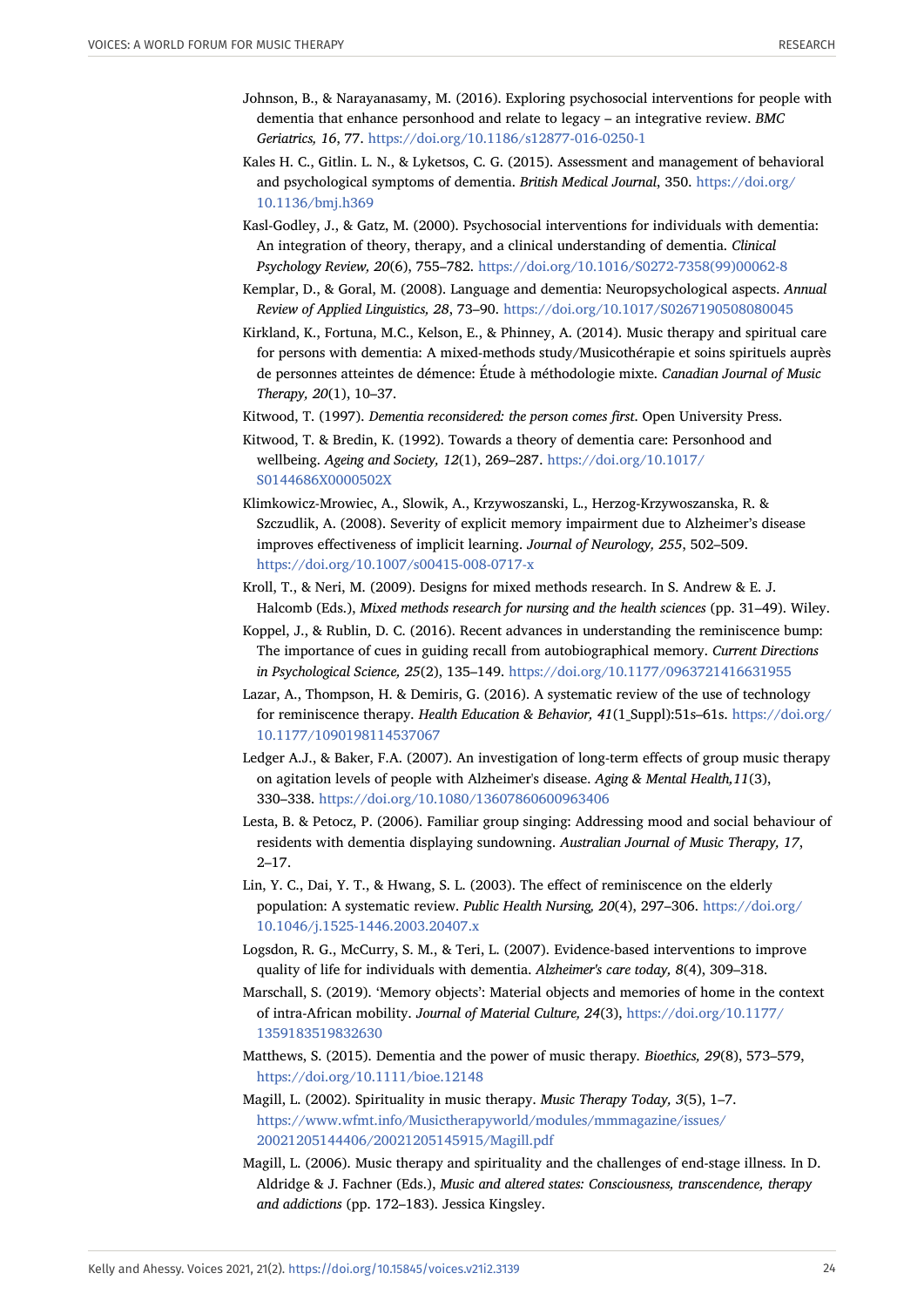- <span id="page-23-1"></span>Johnson, B., & Narayanasamy, M. (2016). Exploring psychosocial interventions for people with dementia that enhance personhood and relate to legacy – an integrative review. *BMC Geriatrics, 16*, 77. <https://doi.org/10.1186/s12877-016-0250-1>
- <span id="page-23-0"></span>Kales H. C., Gitlin. L. N., & Lyketsos, C. G. (2015). Assessment and management of behavioral and psychological symptoms of dementia. *British Medical Journal*, 350. [https://doi.org/](https://doi.org/10.1136/bmj.h369) [10.1136/bmj.h369](https://doi.org/10.1136/bmj.h369)
- <span id="page-23-11"></span>Kasl-Godley, J., & Gatz, M. (2000). Psychosocial interventions for individuals with dementia: An integration of theory, therapy, and a clinical understanding of dementia. *Clinical Psychology Review, 20*(6), 755–782. [https://doi.org/10.1016/S0272-7358\(99\)00062-8](https://doi.org/10.1016/S0272-7358(99)00062-8)
- <span id="page-23-4"></span>Kemplar, D., & Goral, M. (2008). Language and dementia: Neuropsychological aspects. *Annual Review of Applied Linguistics, 28*, 73–90. <https://doi.org/10.1017/S0267190508080045>
- <span id="page-23-15"></span>Kirkland, K., Fortuna, M.C., Kelson, E., & Phinney, A. (2014). Music therapy and spiritual care for persons with dementia: A mixed-methods study/Musicothérapie et soins spirituels auprès de personnes atteintes de démence: Étude à méthodologie mixte. *Canadian Journal of Music Therapy, 20*(1), 10–37.
- <span id="page-23-14"></span><span id="page-23-3"></span>Kitwood, T. (1997). *Dementia reconsidered: the person comes first*. Open University Press.
- Kitwood, T. & Bredin, K. (1992). Towards a theory of dementia care: Personhood and wellbeing. *Ageing and Society, 12*(1), 269–287. [https://doi.org/10.1017/](https://doi.org/10.1017/S0144686X0000502X) [S0144686X0000502X](https://doi.org/10.1017/S0144686X0000502X)
- Klimkowicz-Mrowiec, A., Slowik, A., Krzywoszanski, L., Herzog-Krzywoszanska, R. & Szczudlik, A. (2008). Severity of explicit memory impairment due to Alzheimer's disease improves effectiveness of implicit learning. *Journal of Neurology, 255*, 502–509. <https://doi.org/10.1007/s00415-008-0717-x>
- <span id="page-23-13"></span>Kroll, T., & Neri, M. (2009). Designs for mixed methods research. In S. Andrew & E. J. Halcomb (Eds.), *Mixed methods research for nursing and the health sciences* (pp. 31–49). Wiley.
- <span id="page-23-5"></span>Koppel, J., & Rublin, D. C. (2016). Recent advances in understanding the reminiscence bump: The importance of cues in guiding recall from autobiographical memory. *Current Directions in Psychological Science, 25*(2), 135–149. <https://doi.org/10.1177/0963721416631955>
- <span id="page-23-9"></span>Lazar, A., Thompson, H. & Demiris, G. (2016). A systematic review of the use of technology for reminiscence therapy. *Health Education & Behavior, 41*(1\_Suppl):51s–61s. [https://doi.org/](https://doi.org/10.1177/1090198114537067) [10.1177/1090198114537067](https://doi.org/10.1177/1090198114537067)
- <span id="page-23-7"></span>Ledger A.J., & Baker, F.A. (2007). An investigation of long-term effects of group music therapy on agitation levels of people with Alzheimer's disease. *Aging & Mental Health,11*(3), 330–338. <https://doi.org/10.1080/13607860600963406>
- <span id="page-23-8"></span>Lesta, B. & Petocz, P. (2006). Familiar group singing: Addressing mood and social behaviour of residents with dementia displaying sundowning. *Australian Journal of Music Therapy, 17*, 2–17.
- <span id="page-23-12"></span>Lin, Y. C., Dai, Y. T., & Hwang, S. L. (2003). The effect of reminiscence on the elderly population: A systematic review. *Public Health Nursing, 20*(4), 297–306. [https://doi.org/](https://doi.org/10.1046/j.1525-1446.2003.20407.x) [10.1046/j.1525-1446.2003.20407.x](https://doi.org/10.1046/j.1525-1446.2003.20407.x)
- <span id="page-23-2"></span>Logsdon, R. G., McCurry, S. M., & Teri, L. (2007). Evidence-based interventions to improve quality of life for individuals with dementia. *Alzheimer's care today, 8*(4), 309–318.
- <span id="page-23-10"></span>Marschall, S. (2019). 'Memory objects': Material objects and memories of home in the context of intra-African mobility. *Journal of Material Culture, 24*(3), [https://doi.org/10.1177/](https://doi.org/10.1177/1359183519832630) [1359183519832630](https://doi.org/10.1177/1359183519832630)
- <span id="page-23-6"></span>Matthews, S. (2015). Dementia and the power of music therapy*. Bioethics, 29*(8), 573–579, <https://doi.org/10.1111/bioe.12148>
- <span id="page-23-16"></span>Magill, L. (2002). Spirituality in music therapy. *Music Therapy Today, 3*(5), 1–7. [https://www.wfmt.info/Musictherapyworld/modules/mmmagazine/issues/](https://www.wfmt.info/Musictherapyworld/modules/mmmagazine/issues/20021205144406/20021205145915/Magill.pdf) [20021205144406/20021205145915/Magill.pdf](https://www.wfmt.info/Musictherapyworld/modules/mmmagazine/issues/20021205144406/20021205145915/Magill.pdf)
- <span id="page-23-17"></span>Magill, L. (2006). Music therapy and spirituality and the challenges of end-stage illness. In D. Aldridge & J. Fachner (Eds.), *Music and altered states: Consciousness, transcendence, therapy and addictions* (pp. 172–183). Jessica Kingsley.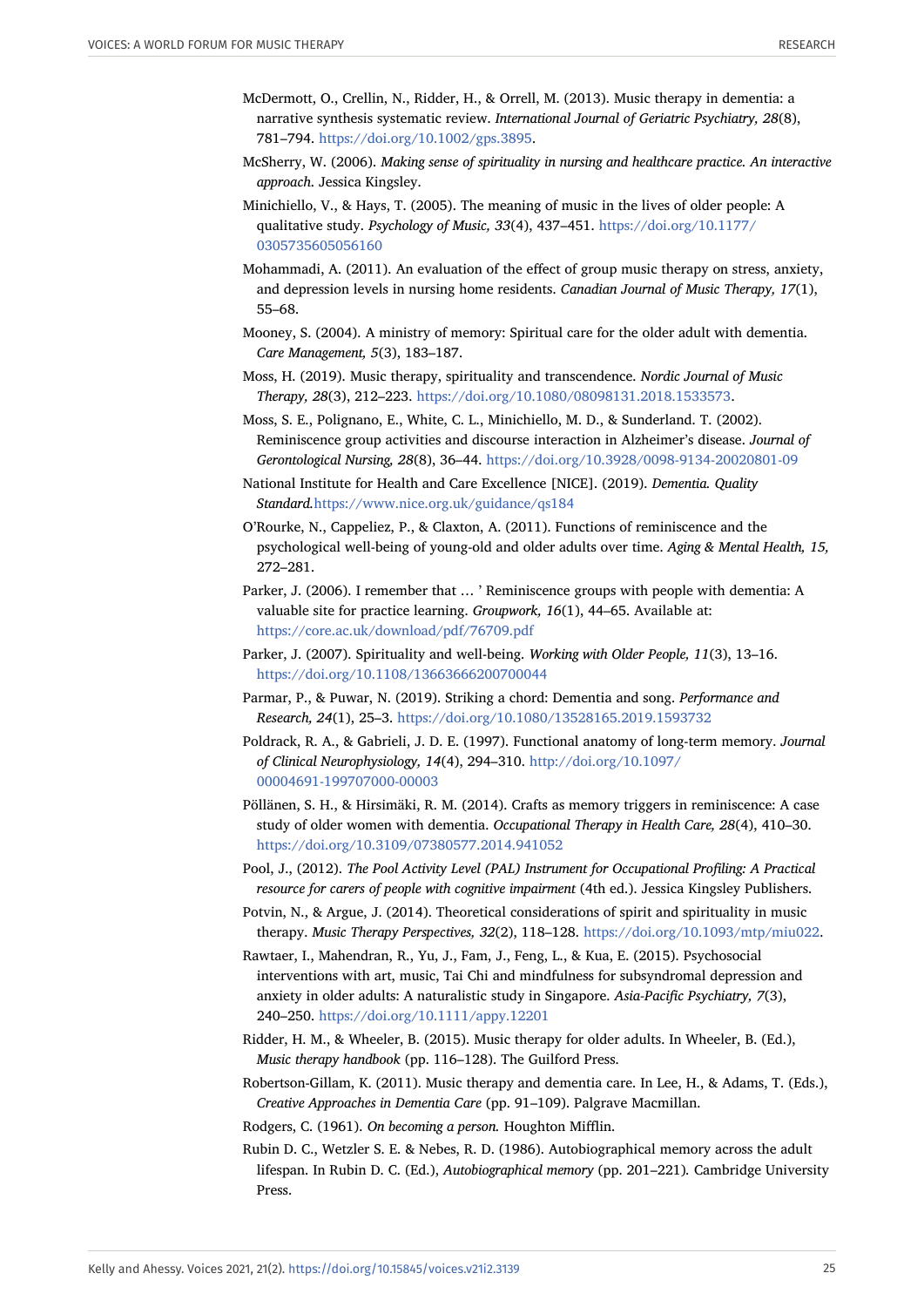- <span id="page-24-1"></span>McDermott, O., Crellin, N., Ridder, H., & Orrell, M. (2013). Music therapy in dementia: a narrative synthesis systematic review. *International Journal of Geriatric Psychiatry, 28*(8), 781–794. <https://doi.org/10.1002/gps.3895>.
- <span id="page-24-18"></span>McSherry, W. (2006). *Making sense of spirituality in nursing and healthcare practice. An interactive approach*. Jessica Kingsley.
- <span id="page-24-0"></span>Minichiello, V., & Hays, T. (2005). The meaning of music in the lives of older people: A qualitative study. *Psychology of Music, 33*(4), 437–451. [https://doi.org/10.1177/](https://doi.org/10.1177/0305735605056160) [0305735605056160](https://doi.org/10.1177/0305735605056160)
- <span id="page-24-4"></span>Mohammadi, A. (2011). An evaluation of the effect of group music therapy on stress, anxiety, and depression levels in nursing home residents. *Canadian Journal of Music Therapy, 17*(1), 55–68.
- <span id="page-24-17"></span>Mooney, S. (2004). A ministry of memory: Spiritual care for the older adult with dementia. *Care Management, 5*(3), 183–187.
- <span id="page-24-15"></span>Moss, H. (2019). Music therapy, spirituality and transcendence. *Nordic Journal of Music Therapy, 28*(3), 212–223. <https://doi.org/10.1080/08098131.2018.1533573>.
- Moss, S. E., Polignano, E., White, C. L., Minichiello, M. D., & Sunderland. T. (2002). Reminiscence group activities and discourse interaction in Alzheimer's disease. *Journal of Gerontological Nursing, 28*(8), 36–44. <https://doi.org/10.3928/0098-9134-20020801-09>
- <span id="page-24-8"></span>National Institute for Health and Care Excellence [NICE]. (2019). *Dementia. Quality Standard.*<https://www.nice.org.uk/guidance/qs184>
- <span id="page-24-10"></span>O'Rourke, N., Cappeliez, P., & Claxton, A. (2011). Functions of reminiscence and the psychological well-being of young-old and older adults over time. *Aging & Mental Health, 15,* 272–281.
- <span id="page-24-6"></span>Parker, J. (2006). I remember that … ' Reminiscence groups with people with dementia: A valuable site for practice learning. *Groupwork, 16*(1), 44–65. Available at: <https://core.ac.uk/download/pdf/76709.pdf>
- <span id="page-24-14"></span>Parker, J. (2007). Spirituality and well-being. *Working with Older People, 11*(3), 13–16. <https://doi.org/10.1108/13663666200700044>
- <span id="page-24-13"></span>Parmar, P., & Puwar, N. (2019). Striking a chord: Dementia and song. *Performance and Research, 24*(1), 25–3. <https://doi.org/10.1080/13528165.2019.1593732>
- Poldrack, R. A., & Gabrieli, J. D. E. (1997). Functional anatomy of long-term memory. *Journal of Clinical Neurophysiology, 14*(4), 294–310. [http://doi.org/10.1097/](http://doi.org/10.1097/00004691-199707000-00003) [00004691-199707000-00003](http://doi.org/10.1097/00004691-199707000-00003)
- <span id="page-24-7"></span>Pöllänen, S. H., & Hirsimäki, R. M. (2014). Crafts as memory triggers in reminiscence: A case study of older women with dementia. *Occupational Therapy in Health Care, 28*(4), 410–30. <https://doi.org/10.3109/07380577.2014.941052>
- <span id="page-24-12"></span>Pool, J., (2012). *The Pool Activity Level (PAL) Instrument for Occupational Profiling: A Practical resource for carers of people with cognitive impairment* (4th ed.). Jessica Kingsley Publishers.
- <span id="page-24-16"></span>Potvin, N., & Argue, J. (2014). Theoretical considerations of spirit and spirituality in music therapy. *Music Therapy Perspectives, 32*(2), 118–128. <https://doi.org/10.1093/mtp/miu022>.
- <span id="page-24-5"></span>Rawtaer, I., Mahendran, R., Yu, J., Fam, J., Feng, L., & Kua, E. (2015). Psychosocial interventions with art, music, Tai Chi and mindfulness for subsyndromal depression and anxiety in older adults: A naturalistic study in Singapore. *Asia-Pacific Psychiatry, 7*(3), 240–250. <https://doi.org/10.1111/appy.12201>
- <span id="page-24-3"></span>Ridder, H. M., & Wheeler, B. (2015). Music therapy for older adults. In Wheeler, B. (Ed.), *Music therapy handbook* (pp. 116–128). The Guilford Press.
- <span id="page-24-9"></span>Robertson-Gillam, K. (2011). Music therapy and dementia care. In Lee, H., & Adams, T. (Eds.), *Creative Approaches in Dementia Care* (pp. 91–109). Palgrave Macmillan.
- <span id="page-24-11"></span><span id="page-24-2"></span>Rodgers, C. (1961). *On becoming a person.* Houghton Mifflin.
- Rubin D. C., Wetzler S. E. & Nebes, R. D. (1986). Autobiographical memory across the adult lifespan. In Rubin D. C. (Ed.), *Autobiographical memory* (pp. 201–221)*.* Cambridge University Press.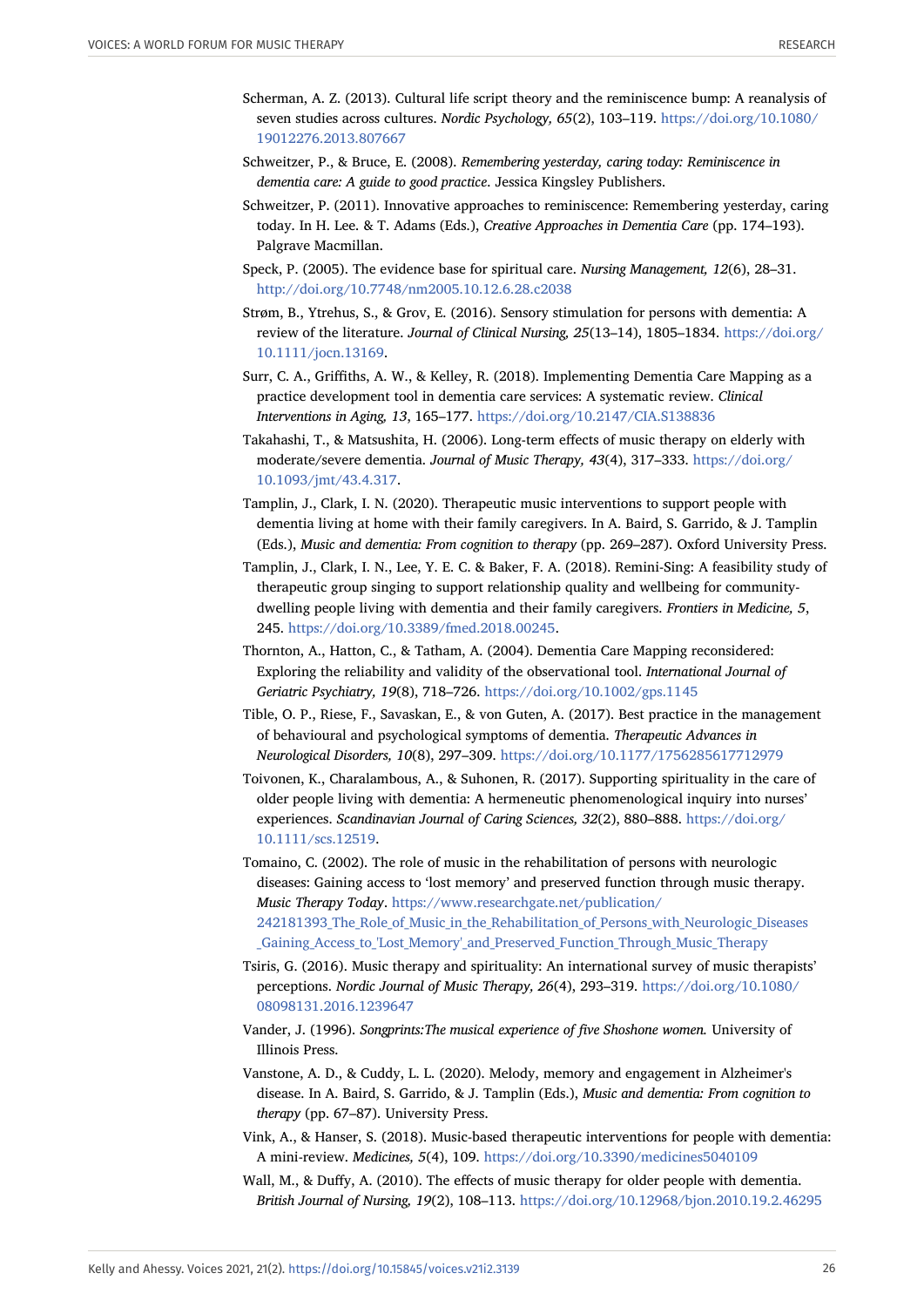- <span id="page-25-5"></span>Scherman, A. Z. (2013). Cultural life script theory and the reminiscence bump: A reanalysis of seven studies across cultures. *Nordic Psychology, 65*(2), 103–119. [https://doi.org/10.1080/](https://doi.org/10.1080/19012276.2013.807667) [19012276.2013.807667](https://doi.org/10.1080/19012276.2013.807667)
- <span id="page-25-10"></span>Schweitzer, P., & Bruce, E. (2008). *Remembering yesterday, caring today: Reminiscence in dementia care: A guide to good practice*. Jessica Kingsley Publishers.
- <span id="page-25-9"></span>Schweitzer, P. (2011). Innovative approaches to reminiscence: Remembering yesterday, caring today. In H. Lee. & T. Adams (Eds.), *Creative Approaches in Dementia Care* (pp. 174–193). Palgrave Macmillan.
- <span id="page-25-13"></span>Speck, P. (2005). The evidence base for spiritual care. *Nursing Management, 12*(6), 28–31. <http://doi.org/10.7748/nm2005.10.12.6.28.c2038>
- Strøm, B., Ytrehus, S., & Grov, E. (2016). Sensory stimulation for persons with dementia: A review of the literature. *Journal of Clinical Nursing, 25*(13–14), 1805–1834. [https://doi.org/](https://doi.org/10.1111/jocn.13169) [10.1111/jocn.13169.](https://doi.org/10.1111/jocn.13169)
- <span id="page-25-11"></span>Surr, C. A., Griffiths, A. W., & Kelley, R. (2018). Implementing Dementia Care Mapping as a practice development tool in dementia care services: A systematic review. *Clinical Interventions in Aging, 13*, 165–177. <https://doi.org/10.2147/CIA.S138836>
- <span id="page-25-8"></span>Takahashi, T., & Matsushita, H. (2006). Long-term effects of music therapy on elderly with moderate/severe dementia. *Journal of Music Therapy, 43*(4), 317–333. [https://doi.org/](https://doi.org/10.1093/jmt/43.4.317) [10.1093/jmt/43.4.317](https://doi.org/10.1093/jmt/43.4.317).
- <span id="page-25-6"></span>Tamplin, J., Clark, I. N. (2020). Therapeutic music interventions to support people with dementia living at home with their family caregivers. In A. Baird, S. Garrido, & J. Tamplin (Eds.), *Music and dementia: From cognition to therapy* (pp. 269–287). Oxford University Press.
- <span id="page-25-7"></span>Tamplin, J., Clark, I. N., Lee, Y. E. C. & Baker, F. A. (2018). Remini-Sing: A feasibility study of therapeutic group singing to support relationship quality and wellbeing for communitydwelling people living with dementia and their family caregivers. *Frontiers in Medicine, 5*, 245. [https://doi.org/10.3389/fmed.2018.00245.](https://doi.org/10.3389/fmed.2018.00245)
- Thornton, A., Hatton, C., & Tatham, A. (2004). Dementia Care Mapping reconsidered: Exploring the reliability and validity of the observational tool. *International Journal of Geriatric Psychiatry, 19*(8), 718–726. <https://doi.org/10.1002/gps.1145>
- <span id="page-25-0"></span>Tible, O. P., Riese, F., Savaskan, E., & von Guten, A. (2017). Best practice in the management of behavioural and psychological symptoms of dementia. *Therapeutic Advances in Neurological Disorders, 10*(8), 297–309. <https://doi.org/10.1177/1756285617712979>
- <span id="page-25-14"></span>Toivonen, K., Charalambous, A., & Suhonen, R. (2017). Supporting spirituality in the care of older people living with dementia: A hermeneutic phenomenological inquiry into nurses' experiences. *Scandinavian Journal of Caring Sciences, 32*(2), 880–888. [https://doi.org/](https://doi.org/10.1111/scs.12519) [10.1111/scs.12519](https://doi.org/10.1111/scs.12519).
- <span id="page-25-2"></span>Tomaino, C. (2002). The role of music in the rehabilitation of persons with neurologic diseases: Gaining access to 'lost memory' and preserved function through music therapy. *Music Therapy Today*. [https://www.researchgate.net/publication/](https://www.researchgate.net/publication/%E2%80%8B242181393_The_Role_of_Music_in_the_Rehabilitation_of_Persons_with_Neurologic_Diseases%E2%80%8B_Gaining_Access_to_) 242181393 The Role of Music in the Rehabilitation of Persons with Neurologic Diseases Gaining Access to 'Lost Memory' and Preserved Function Through Music Therapy
- <span id="page-25-15"></span>Tsiris, G. (2016). Music therapy and spirituality: An international survey of music therapists' perceptions. *Nordic Journal of Music Therapy, 26*(4), 293–319. [https://doi.org/10.1080/](https://doi.org/10.1080/08098131.2016.1239647) [08098131.2016.1239647](https://doi.org/10.1080/08098131.2016.1239647)
- <span id="page-25-12"></span>Vander, J. (1996). *Songprints:The musical experience of five Shoshone women.* University of Illinois Press.
- <span id="page-25-3"></span>Vanstone, A. D., & Cuddy, L. L. (2020). Melody, memory and engagement in Alzheimer's disease. In A. Baird, S. Garrido, & J. Tamplin (Eds.), *Music and dementia: From cognition to therapy* (pp. 67–87). University Press.
- <span id="page-25-4"></span>Vink, A., & Hanser, S. (2018). Music-based therapeutic interventions for people with dementia: A mini-review. *Medicines, 5*(4), 109. <https://doi.org/10.3390/medicines5040109>
- <span id="page-25-1"></span>Wall, M., & Duffy, A. (2010). The effects of music therapy for older people with dementia. *British Journal of Nursing, 19*(2), 108–113. <https://doi.org/10.12968/bjon.2010.19.2.46295>